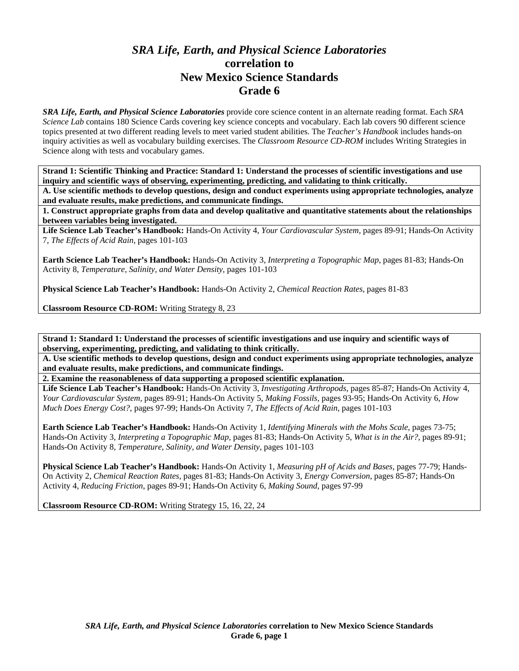## *SRA Life, Earth, and Physical Science Laboratories*  **correlation to New Mexico Science Standards Grade 6**

*SRA Life, Earth, and Physical Science Laboratories* provide core science content in an alternate reading format. Each *SRA Science Lab* contains 180 Science Cards covering key science concepts and vocabulary. Each lab covers 90 different science topics presented at two different reading levels to meet varied student abilities. The *Teacher's Handbook* includes hands-on inquiry activities as well as vocabulary building exercises. The *Classroom Resource CD-ROM* includes Writing Strategies in Science along with tests and vocabulary games.

**Strand 1: Scientific Thinking and Practice: Standard 1: Understand the processes of scientific investigations and use inquiry and scientific ways of observing, experimenting, predicting, and validating to think critically.** 

**A. Use scientific methods to develop questions, design and conduct experiments using appropriate technologies, analyze and evaluate results, make predictions, and communicate findings.** 

**1. Construct appropriate graphs from data and develop qualitative and quantitative statements about the relationships between variables being investigated.** 

**Life Science Lab Teacher's Handbook:** Hands-On Activity 4, *Your Cardiovascular System,* pages 89-91; Hands-On Activity 7, *The Effects of Acid Rain,* pages 101-103

**Earth Science Lab Teacher's Handbook:** Hands-On Activity 3, *Interpreting a Topographic Map,* pages 81-83; Hands-On Activity 8, *Temperature, Salinity, and Water Density,* pages 101-103

**Physical Science Lab Teacher's Handbook:** Hands-On Activity 2, *Chemical Reaction Rates,* pages 81-83

**Classroom Resource CD-ROM:** Writing Strategy 8, 23

**Strand 1: Standard 1: Understand the processes of scientific investigations and use inquiry and scientific ways of observing, experimenting, predicting, and validating to think critically.** 

**A. Use scientific methods to develop questions, design and conduct experiments using appropriate technologies, analyze and evaluate results, make predictions, and communicate findings.** 

**2. Examine the reasonableness of data supporting a proposed scientific explanation.** 

**Life Science Lab Teacher's Handbook:** Hands-On Activity 3, *Investigating Arthropods,* pages 85-87; Hands-On Activity 4, *Your Cardiovascular System,* pages 89-91; Hands-On Activity 5, *Making Fossils,* pages 93-95; Hands-On Activity 6, *How Much Does Energy Cost?,* pages 97-99; Hands-On Activity 7, *The Effects of Acid Rain,* pages 101-103

**Earth Science Lab Teacher's Handbook:** Hands-On Activity 1, *Identifying Minerals with the Mohs Scale,* pages 73-75; Hands-On Activity 3, *Interpreting a Topographic Map,* pages 81-83; Hands-On Activity 5, *What is in the Air?,* pages 89-91; Hands-On Activity 8, *Temperature, Salinity, and Water Density,* pages 101-103

**Physical Science Lab Teacher's Handbook:** Hands-On Activity 1, *Measuring pH of Acids and Bases,* pages 77-79; Hands-On Activity 2, *Chemical Reaction Rates,* pages 81-83; Hands-On Activity 3, *Energy Conversion,* pages 85-87; Hands-On Activity 4, *Reducing Friction,* pages 89-91; Hands-On Activity 6, *Making Sound,* pages 97-99

**Classroom Resource CD-ROM:** Writing Strategy 15, 16, 22, 24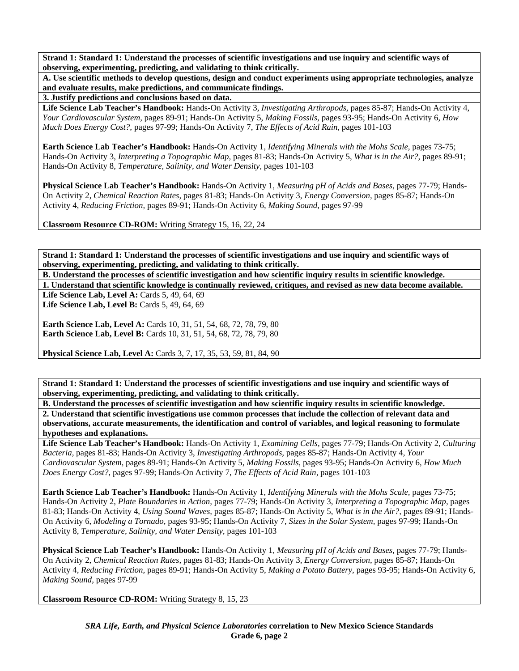**A. Use scientific methods to develop questions, design and conduct experiments using appropriate technologies, analyze and evaluate results, make predictions, and communicate findings.** 

**3. Justify predictions and conclusions based on data.** 

**Life Science Lab Teacher's Handbook:** Hands-On Activity 3, *Investigating Arthropods,* pages 85-87; Hands-On Activity 4, *Your Cardiovascular System,* pages 89-91; Hands-On Activity 5, *Making Fossils,* pages 93-95; Hands-On Activity 6, *How Much Does Energy Cost?,* pages 97-99; Hands-On Activity 7, *The Effects of Acid Rain,* pages 101-103

**Earth Science Lab Teacher's Handbook:** Hands-On Activity 1, *Identifying Minerals with the Mohs Scale,* pages 73-75; Hands-On Activity 3, *Interpreting a Topographic Map,* pages 81-83; Hands-On Activity 5, *What is in the Air?,* pages 89-91; Hands-On Activity 8, *Temperature, Salinity, and Water Density,* pages 101-103

**Physical Science Lab Teacher's Handbook:** Hands-On Activity 1, *Measuring pH of Acids and Bases,* pages 77-79; Hands-On Activity 2, *Chemical Reaction Rates,* pages 81-83; Hands-On Activity 3, *Energy Conversion,* pages 85-87; Hands-On Activity 4, *Reducing Friction,* pages 89-91; Hands-On Activity 6, *Making Sound,* pages 97-99

**Classroom Resource CD-ROM:** Writing Strategy 15, 16, 22, 24

**Strand 1: Standard 1: Understand the processes of scientific investigations and use inquiry and scientific ways of observing, experimenting, predicting, and validating to think critically.** 

**B. Understand the processes of scientific investigation and how scientific inquiry results in scientific knowledge. 1. Understand that scientific knowledge is continually reviewed, critiques, and revised as new data become available.** 

Life Science Lab, Level A: Cards 5, 49, 64, 69 Life Science Lab, Level B: Cards 5, 49, 64, 69

**Earth Science Lab, Level A: Cards 10, 31, 51, 54, 68, 72, 78, 79, 80 Earth Science Lab, Level B:** Cards 10, 31, 51, 54, 68, 72, 78, 79, 80

**Physical Science Lab, Level A:** Cards 3, 7, 17, 35, 53, 59, 81, 84, 90

**Strand 1: Standard 1: Understand the processes of scientific investigations and use inquiry and scientific ways of observing, experimenting, predicting, and validating to think critically.** 

**B. Understand the processes of scientific investigation and how scientific inquiry results in scientific knowledge. 2. Understand that scientific investigations use common processes that include the collection of relevant data and observations, accurate measurements, the identification and control of variables, and logical reasoning to formulate hypotheses and explanations.** 

**Life Science Lab Teacher's Handbook:** Hands-On Activity 1, *Examining Cells,* pages 77-79; Hands-On Activity 2, *Culturing Bacteria,* pages 81-83; Hands-On Activity 3, *Investigating Arthropods,* pages 85-87; Hands-On Activity 4, *Your Cardiovascular System,* pages 89-91; Hands-On Activity 5, *Making Fossils,* pages 93-95; Hands-On Activity 6, *How Much Does Energy Cost?,* pages 97-99; Hands-On Activity 7, *The Effects of Acid Rain,* pages 101-103

**Earth Science Lab Teacher's Handbook:** Hands-On Activity 1, *Identifying Minerals with the Mohs Scale,* pages 73-75; Hands-On Activity 2, *Plate Boundaries in Action,* pages 77-79; Hands-On Activity 3, *Interpreting a Topographic Map,* pages 81-83; Hands-On Activity 4, *Using Sound Waves,* pages 85-87; Hands-On Activity 5, *What is in the Air?,* pages 89-91; Hands-On Activity 6, *Modeling a Tornado,* pages 93-95; Hands-On Activity 7, *Sizes in the Solar System,* pages 97-99; Hands-On Activity 8, *Temperature, Salinity, and Water Density,* pages 101-103

**Physical Science Lab Teacher's Handbook:** Hands-On Activity 1, *Measuring pH of Acids and Bases,* pages 77-79; Hands-On Activity 2, *Chemical Reaction Rates,* pages 81-83; Hands-On Activity 3, *Energy Conversion,* pages 85-87; Hands-On Activity 4, *Reducing Friction,* pages 89-91; Hands-On Activity 5, *Making a Potato Battery,* pages 93-95; Hands-On Activity 6, *Making Sound,* pages 97-99

**Classroom Resource CD-ROM:** Writing Strategy 8, 15, 23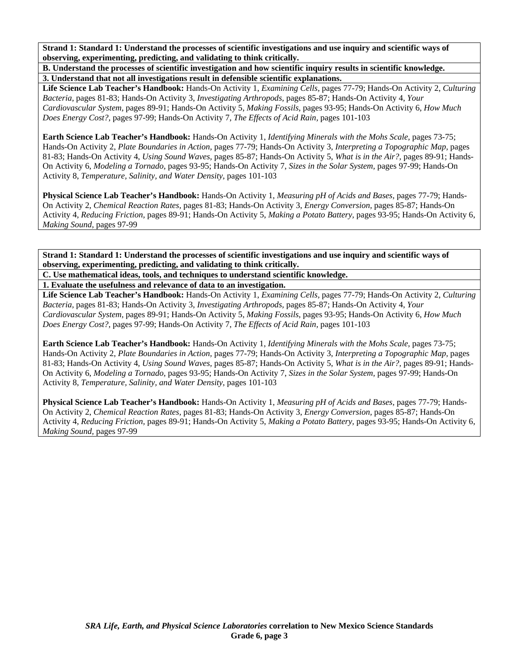**B. Understand the processes of scientific investigation and how scientific inquiry results in scientific knowledge. 3. Understand that not all investigations result in defensible scientific explanations.** 

**Life Science Lab Teacher's Handbook:** Hands-On Activity 1, *Examining Cells,* pages 77-79; Hands-On Activity 2, *Culturing Bacteria,* pages 81-83; Hands-On Activity 3, *Investigating Arthropods,* pages 85-87; Hands-On Activity 4, *Your Cardiovascular System,* pages 89-91; Hands-On Activity 5, *Making Fossils,* pages 93-95; Hands-On Activity 6, *How Much Does Energy Cost?,* pages 97-99; Hands-On Activity 7, *The Effects of Acid Rain,* pages 101-103

**Earth Science Lab Teacher's Handbook:** Hands-On Activity 1, *Identifying Minerals with the Mohs Scale,* pages 73-75; Hands-On Activity 2, *Plate Boundaries in Action,* pages 77-79; Hands-On Activity 3, *Interpreting a Topographic Map,* pages 81-83; Hands-On Activity 4, *Using Sound Waves,* pages 85-87; Hands-On Activity 5, *What is in the Air?,* pages 89-91; Hands-On Activity 6, *Modeling a Tornado,* pages 93-95; Hands-On Activity 7, *Sizes in the Solar System,* pages 97-99; Hands-On Activity 8, *Temperature, Salinity, and Water Density,* pages 101-103

**Physical Science Lab Teacher's Handbook:** Hands-On Activity 1, *Measuring pH of Acids and Bases,* pages 77-79; Hands-On Activity 2, *Chemical Reaction Rates,* pages 81-83; Hands-On Activity 3, *Energy Conversion,* pages 85-87; Hands-On Activity 4, *Reducing Friction,* pages 89-91; Hands-On Activity 5, *Making a Potato Battery,* pages 93-95; Hands-On Activity 6, *Making Sound,* pages 97-99

**Strand 1: Standard 1: Understand the processes of scientific investigations and use inquiry and scientific ways of observing, experimenting, predicting, and validating to think critically.** 

**C. Use mathematical ideas, tools, and techniques to understand scientific knowledge.** 

**1. Evaluate the usefulness and relevance of data to an investigation.** 

**Life Science Lab Teacher's Handbook:** Hands-On Activity 1, *Examining Cells,* pages 77-79; Hands-On Activity 2, *Culturing Bacteria,* pages 81-83; Hands-On Activity 3, *Investigating Arthropods,* pages 85-87; Hands-On Activity 4, *Your Cardiovascular System,* pages 89-91; Hands-On Activity 5, *Making Fossils,* pages 93-95; Hands-On Activity 6, *How Much Does Energy Cost?,* pages 97-99; Hands-On Activity 7, *The Effects of Acid Rain,* pages 101-103

**Earth Science Lab Teacher's Handbook:** Hands-On Activity 1, *Identifying Minerals with the Mohs Scale,* pages 73-75; Hands-On Activity 2, *Plate Boundaries in Action,* pages 77-79; Hands-On Activity 3, *Interpreting a Topographic Map,* pages 81-83; Hands-On Activity 4, *Using Sound Waves,* pages 85-87; Hands-On Activity 5, *What is in the Air?,* pages 89-91; Hands-On Activity 6, *Modeling a Tornado,* pages 93-95; Hands-On Activity 7, *Sizes in the Solar System,* pages 97-99; Hands-On Activity 8, *Temperature, Salinity, and Water Density,* pages 101-103

**Physical Science Lab Teacher's Handbook:** Hands-On Activity 1, *Measuring pH of Acids and Bases,* pages 77-79; Hands-On Activity 2, *Chemical Reaction Rates,* pages 81-83; Hands-On Activity 3, *Energy Conversion,* pages 85-87; Hands-On Activity 4, *Reducing Friction,* pages 89-91; Hands-On Activity 5, *Making a Potato Battery,* pages 93-95; Hands-On Activity 6, *Making Sound,* pages 97-99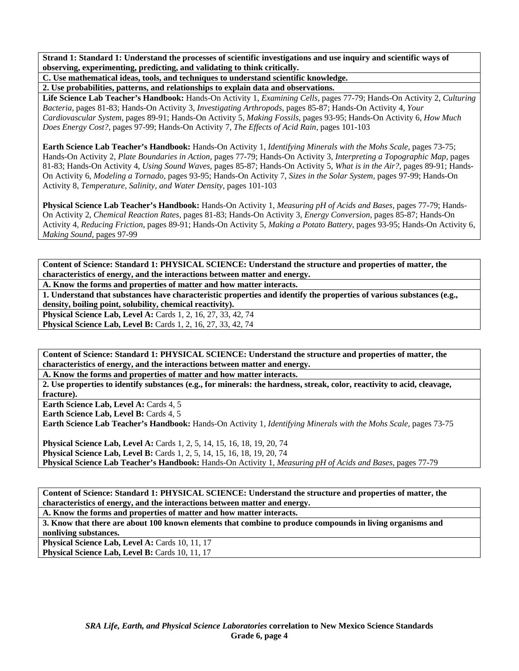**C. Use mathematical ideas, tools, and techniques to understand scientific knowledge.** 

**2. Use probabilities, patterns, and relationships to explain data and observations.** 

**Life Science Lab Teacher's Handbook:** Hands-On Activity 1, *Examining Cells,* pages 77-79; Hands-On Activity 2, *Culturing Bacteria,* pages 81-83; Hands-On Activity 3, *Investigating Arthropods,* pages 85-87; Hands-On Activity 4, *Your Cardiovascular System,* pages 89-91; Hands-On Activity 5, *Making Fossils,* pages 93-95; Hands-On Activity 6, *How Much Does Energy Cost?,* pages 97-99; Hands-On Activity 7, *The Effects of Acid Rain,* pages 101-103

**Earth Science Lab Teacher's Handbook:** Hands-On Activity 1, *Identifying Minerals with the Mohs Scale,* pages 73-75; Hands-On Activity 2, *Plate Boundaries in Action,* pages 77-79; Hands-On Activity 3, *Interpreting a Topographic Map,* pages 81-83; Hands-On Activity 4, *Using Sound Waves,* pages 85-87; Hands-On Activity 5, *What is in the Air?,* pages 89-91; Hands-On Activity 6, *Modeling a Tornado,* pages 93-95; Hands-On Activity 7, *Sizes in the Solar System,* pages 97-99; Hands-On Activity 8, *Temperature, Salinity, and Water Density,* pages 101-103

**Physical Science Lab Teacher's Handbook:** Hands-On Activity 1, *Measuring pH of Acids and Bases,* pages 77-79; Hands-On Activity 2, *Chemical Reaction Rates,* pages 81-83; Hands-On Activity 3, *Energy Conversion,* pages 85-87; Hands-On Activity 4, *Reducing Friction,* pages 89-91; Hands-On Activity 5, *Making a Potato Battery,* pages 93-95; Hands-On Activity 6, *Making Sound,* pages 97-99

**Content of Science: Standard 1: PHYSICAL SCIENCE: Understand the structure and properties of matter, the characteristics of energy, and the interactions between matter and energy.** 

**A. Know the forms and properties of matter and how matter interacts.** 

**1. Understand that substances have characteristic properties and identify the properties of various substances (e.g., density, boiling point, solubility, chemical reactivity).** 

**Physical Science Lab, Level A: Cards 1, 2, 16, 27, 33, 42, 74 Physical Science Lab, Level B:** Cards 1, 2, 16, 27, 33, 42, 74

**Content of Science: Standard 1: PHYSICAL SCIENCE: Understand the structure and properties of matter, the characteristics of energy, and the interactions between matter and energy.** 

**A. Know the forms and properties of matter and how matter interacts.** 

**2. Use properties to identify substances (e.g., for minerals: the hardness, streak, color, reactivity to acid, cleavage, fracture).** 

Earth Science Lab, Level A: Cards 4, 5

**Earth Science Lab, Level B: Cards 4, 5** 

**Earth Science Lab Teacher's Handbook:** Hands-On Activity 1, *Identifying Minerals with the Mohs Scale,* pages 73-75

**Physical Science Lab, Level A: Cards 1, 2, 5, 14, 15, 16, 18, 19, 20, 74 Physical Science Lab, Level B:** Cards 1, 2, 5, 14, 15, 16, 18, 19, 20, 74 **Physical Science Lab Teacher's Handbook:** Hands-On Activity 1, *Measuring pH of Acids and Bases,* pages 77-79

**Content of Science: Standard 1: PHYSICAL SCIENCE: Understand the structure and properties of matter, the characteristics of energy, and the interactions between matter and energy.** 

**A. Know the forms and properties of matter and how matter interacts.** 

**3. Know that there are about 100 known elements that combine to produce compounds in living organisms and nonliving substances.**  Physical Science Lab, Level A: Cards 10, 11, 17

**Physical Science Lab, Level B: Cards 10, 11, 17**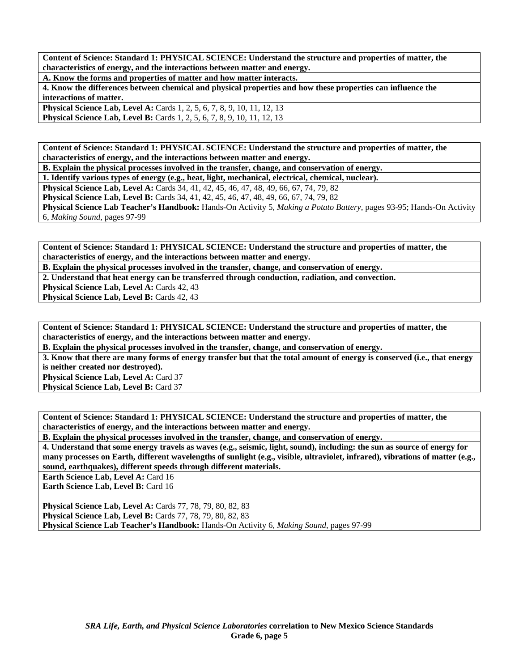**A. Know the forms and properties of matter and how matter interacts.** 

**4. Know the differences between chemical and physical properties and how these properties can influence the interactions of matter.** 

**Physical Science Lab, Level A:** Cards 1, 2, 5, 6, 7, 8, 9, 10, 11, 12, 13 **Physical Science Lab, Level B:** Cards 1, 2, 5, 6, 7, 8, 9, 10, 11, 12, 13

**Content of Science: Standard 1: PHYSICAL SCIENCE: Understand the structure and properties of matter, the characteristics of energy, and the interactions between matter and energy.** 

**B. Explain the physical processes involved in the transfer, change, and conservation of energy.** 

**1. Identify various types of energy (e.g., heat, light, mechanical, electrical, chemical, nuclear).** 

**Physical Science Lab, Level A:** Cards 34, 41, 42, 45, 46, 47, 48, 49, 66, 67, 74, 79, 82

**Physical Science Lab, Level B:** Cards 34, 41, 42, 45, 46, 47, 48, 49, 66, 67, 74, 79, 82

**Physical Science Lab Teacher's Handbook:** Hands-On Activity 5, *Making a Potato Battery,* pages 93-95; Hands-On Activity 6, *Making Sound,* pages 97-99

**Content of Science: Standard 1: PHYSICAL SCIENCE: Understand the structure and properties of matter, the characteristics of energy, and the interactions between matter and energy.** 

**B. Explain the physical processes involved in the transfer, change, and conservation of energy.** 

**2. Understand that heat energy can be transferred through conduction, radiation, and convection.** 

Physical Science Lab, Level A: Cards 42, 43

**Physical Science Lab, Level B: Cards 42, 43** 

**Content of Science: Standard 1: PHYSICAL SCIENCE: Understand the structure and properties of matter, the characteristics of energy, and the interactions between matter and energy.** 

**B. Explain the physical processes involved in the transfer, change, and conservation of energy.** 

**3. Know that there are many forms of energy transfer but that the total amount of energy is conserved (i.e., that energy is neither created nor destroyed).** 

**Physical Science Lab, Level A: Card 37** Physical Science Lab, Level B: Card 37

**Content of Science: Standard 1: PHYSICAL SCIENCE: Understand the structure and properties of matter, the characteristics of energy, and the interactions between matter and energy.** 

**B. Explain the physical processes involved in the transfer, change, and conservation of energy.** 

**4. Understand that some energy travels as waves (e.g., seismic, light, sound), including: the sun as source of energy for many processes on Earth, different wavelengths of sunlight (e.g., visible, ultraviolet, infrared), vibrations of matter (e.g., sound, earthquakes), different speeds through different materials.** 

**Earth Science Lab, Level A: Card 16** 

**Earth Science Lab, Level B: Card 16** 

**Physical Science Lab, Level A: Cards 77, 78, 79, 80, 82, 83 Physical Science Lab, Level B:** Cards 77, 78, 79, 80, 82, 83 **Physical Science Lab Teacher's Handbook:** Hands-On Activity 6, *Making Sound,* pages 97-99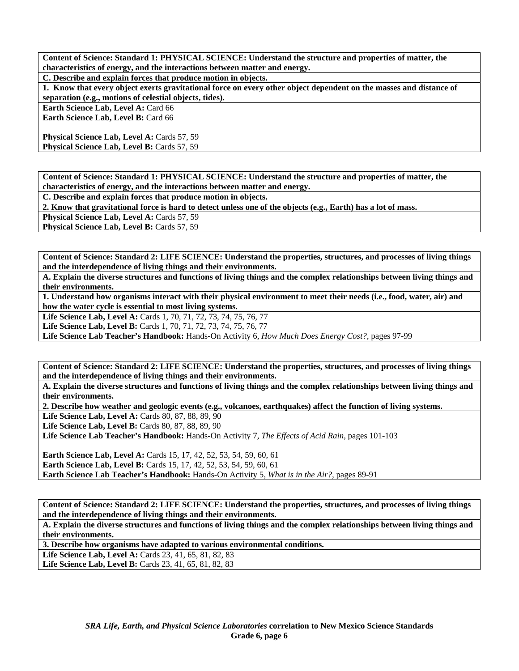**C. Describe and explain forces that produce motion in objects.** 

**1. Know that every object exerts gravitational force on every other object dependent on the masses and distance of separation (e.g., motions of celestial objects, tides).** 

**Earth Science Lab, Level A: Card 66** 

**Earth Science Lab, Level B: Card 66** 

**Physical Science Lab, Level A: Cards 57, 59 Physical Science Lab, Level B: Cards 57, 59** 

**Content of Science: Standard 1: PHYSICAL SCIENCE: Understand the structure and properties of matter, the characteristics of energy, and the interactions between matter and energy.** 

**C. Describe and explain forces that produce motion in objects.** 

**2. Know that gravitational force is hard to detect unless one of the objects (e.g., Earth) has a lot of mass.** 

**Physical Science Lab, Level A: Cards 57, 59** 

**Physical Science Lab, Level B: Cards 57, 59** 

**Content of Science: Standard 2: LIFE SCIENCE: Understand the properties, structures, and processes of living things and the interdependence of living things and their environments.** 

**A. Explain the diverse structures and functions of living things and the complex relationships between living things and their environments.** 

**1. Understand how organisms interact with their physical environment to meet their needs (i.e., food, water, air) and how the water cycle is essential to most living systems.** 

Life Science Lab, Level A: Cards 1, 70, 71, 72, 73, 74, 75, 76, 77

**Life Science Lab, Level B:** Cards 1, 70, 71, 72, 73, 74, 75, 76, 77

**Life Science Lab Teacher's Handbook:** Hands-On Activity 6, *How Much Does Energy Cost?,* pages 97-99

**Content of Science: Standard 2: LIFE SCIENCE: Understand the properties, structures, and processes of living things and the interdependence of living things and their environments.** 

**A. Explain the diverse structures and functions of living things and the complex relationships between living things and their environments.** 

**2. Describe how weather and geologic events (e.g., volcanoes, earthquakes) affect the function of living systems.** 

**Life Science Lab, Level A:** Cards 80, 87, 88, 89, 90

Life Science Lab, Level B: Cards 80, 87, 88, 89, 90

**Life Science Lab Teacher's Handbook:** Hands-On Activity 7, *The Effects of Acid Rain,* pages 101-103

**Earth Science Lab, Level A:** Cards 15, 17, 42, 52, 53, 54, 59, 60, 61 **Earth Science Lab, Level B:** Cards 15, 17, 42, 52, 53, 54, 59, 60, 61 **Earth Science Lab Teacher's Handbook:** Hands-On Activity 5, *What is in the Air?,* pages 89-91

**Content of Science: Standard 2: LIFE SCIENCE: Understand the properties, structures, and processes of living things and the interdependence of living things and their environments.** 

**A. Explain the diverse structures and functions of living things and the complex relationships between living things and their environments.** 

**3. Describe how organisms have adapted to various environmental conditions.** 

Life Science Lab, Level A: Cards 23, 41, 65, 81, 82, 83

Life Science Lab, Level B: Cards 23, 41, 65, 81, 82, 83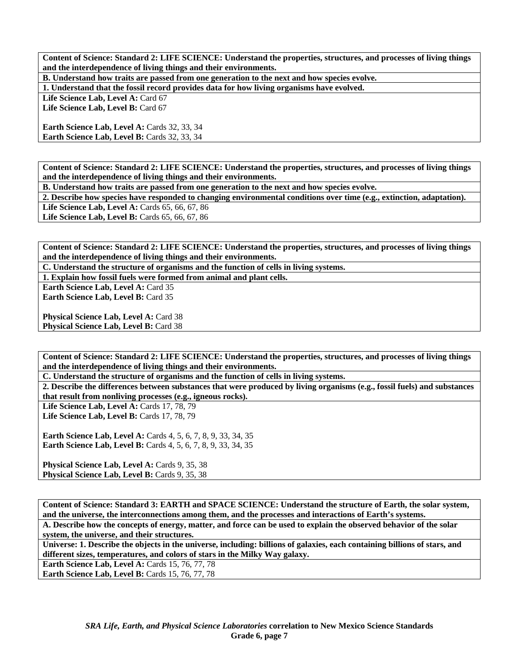**B. Understand how traits are passed from one generation to the next and how species evolve.** 

**1. Understand that the fossil record provides data for how living organisms have evolved.** 

Life Science Lab, Level A: Card 67 Life Science Lab, Level B: Card 67

**Earth Science Lab, Level A: Cards 32, 33, 34** Earth Science Lab, Level B: Cards 32, 33, 34

**Content of Science: Standard 2: LIFE SCIENCE: Understand the properties, structures, and processes of living things and the interdependence of living things and their environments.** 

**B. Understand how traits are passed from one generation to the next and how species evolve.** 

**2. Describe how species have responded to changing environmental conditions over time (e.g., extinction, adaptation).**  Life Science Lab, Level A: Cards 65, 66, 67, 86

**Life Science Lab, Level B:** Cards 65, 66, 67, 86

**Content of Science: Standard 2: LIFE SCIENCE: Understand the properties, structures, and processes of living things and the interdependence of living things and their environments.** 

**C. Understand the structure of organisms and the function of cells in living systems.** 

**1. Explain how fossil fuels were formed from animal and plant cells.** 

Earth Science Lab, Level A: Card 35 **Earth Science Lab, Level B:** Card 35

Physical Science Lab, Level A: Card 38 **Physical Science Lab, Level B: Card 38** 

**Content of Science: Standard 2: LIFE SCIENCE: Understand the properties, structures, and processes of living things and the interdependence of living things and their environments.** 

**C. Understand the structure of organisms and the function of cells in living systems.** 

**2. Describe the differences between substances that were produced by living organisms (e.g., fossil fuels) and substances that result from nonliving processes (e.g., igneous rocks).** 

Life Science Lab, Level A: Cards 17, 78, 79 **Life Science Lab, Level B: Cards 17, 78, 79** 

**Earth Science Lab, Level A:** Cards 4, 5, 6, 7, 8, 9, 33, 34, 35 **Earth Science Lab, Level B:** Cards 4, 5, 6, 7, 8, 9, 33, 34, 35

Physical Science Lab, Level A: Cards 9, 35, 38 Physical Science Lab, Level B: Cards 9, 35, 38

**Content of Science: Standard 3: EARTH and SPACE SCIENCE: Understand the structure of Earth, the solar system, and the universe, the interconnections among them, and the processes and interactions of Earth's systems. A. Describe how the concepts of energy, matter, and force can be used to explain the observed behavior of the solar system, the universe, and their structures.** 

**Universe: 1. Describe the objects in the universe, including: billions of galaxies, each containing billions of stars, and different sizes, temperatures, and colors of stars in the Milky Way galaxy.** 

**Earth Science Lab, Level A: Cards 15, 76, 77, 78** 

**Earth Science Lab, Level B: Cards 15, 76, 77, 78**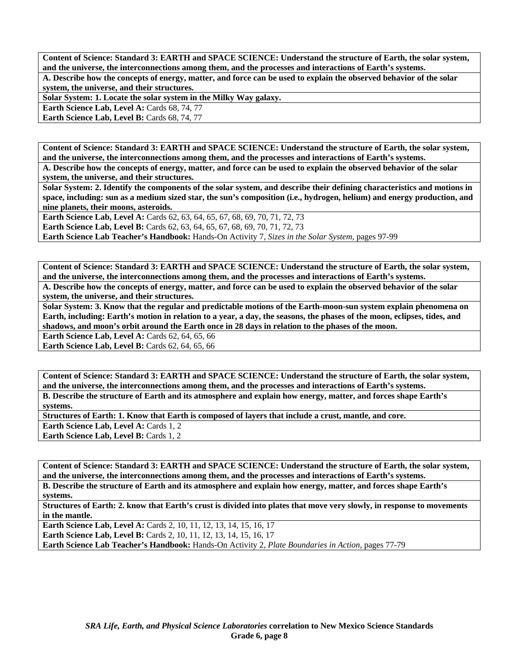**Content of Science: Standard 3: EARTH and SPACE SCIENCE: Understand the structure of Earth, the solar system, and the universe, the interconnections among them, and the processes and interactions of Earth's systems. A. Describe how the concepts of energy, matter, and force can be used to explain the observed behavior of the solar system, the universe, and their structures.** 

**Solar System: 1. Locate the solar system in the Milky Way galaxy.** 

**Earth Science Lab, Level A: Cards 68, 74, 77** 

Earth Science Lab, Level B: Cards 68, 74, 77

**Content of Science: Standard 3: EARTH and SPACE SCIENCE: Understand the structure of Earth, the solar system, and the universe, the interconnections among them, and the processes and interactions of Earth's systems.** 

**A. Describe how the concepts of energy, matter, and force can be used to explain the observed behavior of the solar system, the universe, and their structures.** 

**Solar System: 2. Identify the components of the solar system, and describe their defining characteristics and motions in space, including: sun as a medium sized star, the sun's composition (i.e., hydrogen, helium) and energy production, and nine planets, their moons, asteroids.** 

**Earth Science Lab, Level A: Cards 62, 63, 64, 65, 67, 68, 69, 70, 71, 72, 73 Earth Science Lab, Level B:** Cards 62, 63, 64, 65, 67, 68, 69, 70, 71, 72, 73

**Earth Science Lab Teacher's Handbook:** Hands-On Activity 7, *Sizes in the Solar System,* pages 97-99

**Content of Science: Standard 3: EARTH and SPACE SCIENCE: Understand the structure of Earth, the solar system, and the universe, the interconnections among them, and the processes and interactions of Earth's systems. A. Describe how the concepts of energy, matter, and force can be used to explain the observed behavior of the solar system, the universe, and their structures.** 

**Solar System: 3. Know that the regular and predictable motions of the Earth-moon-sun system explain phenomena on Earth, including: Earth's motion in relation to a year, a day, the seasons, the phases of the moon, eclipses, tides, and shadows, and moon's orbit around the Earth once in 28 days in relation to the phases of the moon.** 

**Earth Science Lab, Level A: Cards 62, 64, 65, 66** 

**Earth Science Lab, Level B: Cards 62, 64, 65, 66** 

**Content of Science: Standard 3: EARTH and SPACE SCIENCE: Understand the structure of Earth, the solar system, and the universe, the interconnections among them, and the processes and interactions of Earth's systems. B. Describe the structure of Earth and its atmosphere and explain how energy, matter, and forces shape Earth's systems.** 

**Structures of Earth: 1. Know that Earth is composed of layers that include a crust, mantle, and core.** 

**Earth Science Lab, Level A: Cards 1, 2** 

**Earth Science Lab, Level B: Cards 1, 2** 

**Content of Science: Standard 3: EARTH and SPACE SCIENCE: Understand the structure of Earth, the solar system, and the universe, the interconnections among them, and the processes and interactions of Earth's systems.** 

**B. Describe the structure of Earth and its atmosphere and explain how energy, matter, and forces shape Earth's systems.** 

**Structures of Earth: 2. know that Earth's crust is divided into plates that move very slowly, in response to movements in the mantle.** 

**Earth Science Lab, Level A: Cards 2, 10, 11, 12, 13, 14, 15, 16, 17 Earth Science Lab, Level B:** Cards 2, 10, 11, 12, 13, 14, 15, 16, 17 **Earth Science Lab Teacher's Handbook:** Hands-On Activity 2, *Plate Boundaries in Action,* pages 77-79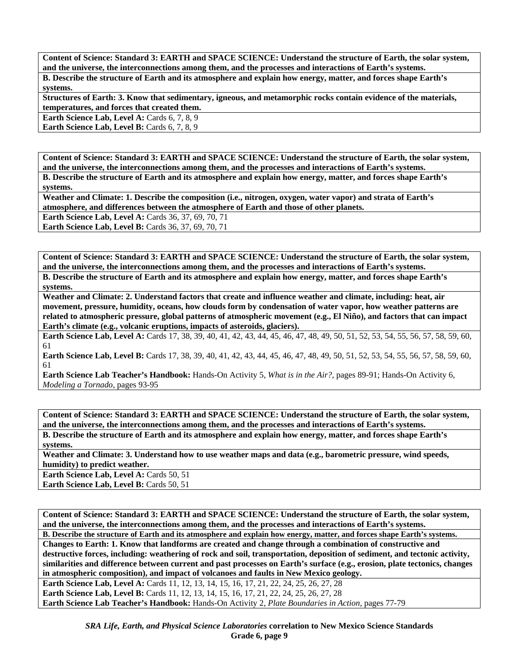**Content of Science: Standard 3: EARTH and SPACE SCIENCE: Understand the structure of Earth, the solar system, and the universe, the interconnections among them, and the processes and interactions of Earth's systems. B. Describe the structure of Earth and its atmosphere and explain how energy, matter, and forces shape Earth's systems.** 

**Structures of Earth: 3. Know that sedimentary, igneous, and metamorphic rocks contain evidence of the materials, temperatures, and forces that created them.** 

**Earth Science Lab, Level A: Cards 6, 7, 8, 9** 

**Earth Science Lab, Level B:** Cards 6, 7, 8, 9

**Content of Science: Standard 3: EARTH and SPACE SCIENCE: Understand the structure of Earth, the solar system, and the universe, the interconnections among them, and the processes and interactions of Earth's systems. B. Describe the structure of Earth and its atmosphere and explain how energy, matter, and forces shape Earth's systems.** 

**Weather and Climate: 1. Describe the composition (i.e., nitrogen, oxygen, water vapor) and strata of Earth's atmosphere, and differences between the atmosphere of Earth and those of other planets.** 

**Earth Science Lab, Level A: Cards 36, 37, 69, 70, 71** 

**Earth Science Lab, Level B: Cards 36, 37, 69, 70, 71** 

**Content of Science: Standard 3: EARTH and SPACE SCIENCE: Understand the structure of Earth, the solar system, and the universe, the interconnections among them, and the processes and interactions of Earth's systems. B. Describe the structure of Earth and its atmosphere and explain how energy, matter, and forces shape Earth's systems.** 

**Weather and Climate: 2. Understand factors that create and influence weather and climate, including: heat, air movement, pressure, humidity, oceans, how clouds form by condensation of water vapor, how weather patterns are related to atmospheric pressure, global patterns of atmospheric movement (e.g., El Niño), and factors that can impact Earth's climate (e.g., volcanic eruptions, impacts of asteroids, glaciers).** 

**Earth Science Lab, Level A:** Cards 17, 38, 39, 40, 41, 42, 43, 44, 45, 46, 47, 48, 49, 50, 51, 52, 53, 54, 55, 56, 57, 58, 59, 60, 61

**Earth Science Lab, Level B:** Cards 17, 38, 39, 40, 41, 42, 43, 44, 45, 46, 47, 48, 49, 50, 51, 52, 53, 54, 55, 56, 57, 58, 59, 60, 61

**Earth Science Lab Teacher's Handbook:** Hands-On Activity 5, *What is in the Air?,* pages 89-91; Hands-On Activity 6, *Modeling a Tornado,* pages 93-95

**Content of Science: Standard 3: EARTH and SPACE SCIENCE: Understand the structure of Earth, the solar system, and the universe, the interconnections among them, and the processes and interactions of Earth's systems. B. Describe the structure of Earth and its atmosphere and explain how energy, matter, and forces shape Earth's systems.** 

**Weather and Climate: 3. Understand how to use weather maps and data (e.g., barometric pressure, wind speeds, humidity) to predict weather.** 

**Earth Science Lab, Level A: Cards 50, 51** Earth Science Lab, Level B: Cards 50, 51

**Content of Science: Standard 3: EARTH and SPACE SCIENCE: Understand the structure of Earth, the solar system, and the universe, the interconnections among them, and the processes and interactions of Earth's systems.** 

**B. Describe the structure of Earth and its atmosphere and explain how energy, matter, and forces shape Earth's systems. Changes to Earth: 1. Know that landforms are created and change through a combination of constructive and destructive forces, including: weathering of rock and soil, transportation, deposition of sediment, and tectonic activity, similarities and difference between current and past processes on Earth's surface (e.g., erosion, plate tectonics, changes in atmospheric composition), and impact of volcanoes and faults in New Mexico geology.** 

**Earth Science Lab, Level A:** Cards 11, 12, 13, 14, 15, 16, 17, 21, 22, 24, 25, 26, 27, 28 **Earth Science Lab, Level B:** Cards 11, 12, 13, 14, 15, 16, 17, 21, 22, 24, 25, 26, 27, 28 **Earth Science Lab Teacher's Handbook:** Hands-On Activity 2, *Plate Boundaries in Action,* pages 77-79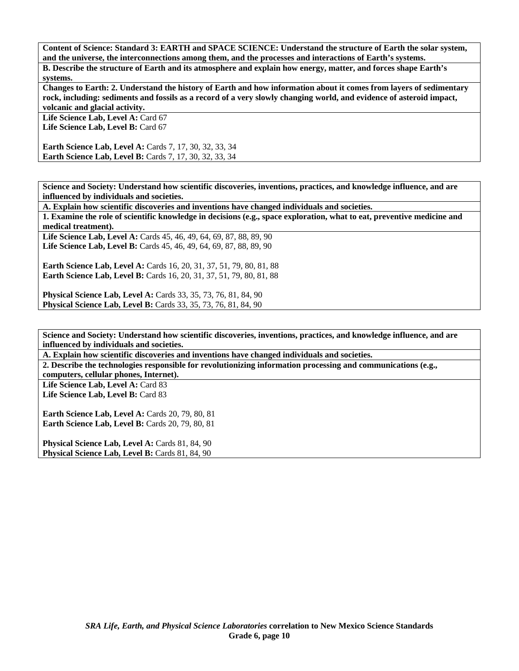**Content of Science: Standard 3: EARTH and SPACE SCIENCE: Understand the structure of Earth the solar system, and the universe, the interconnections among them, and the processes and interactions of Earth's systems. B. Describe the structure of Earth and its atmosphere and explain how energy, matter, and forces shape Earth's systems.** 

**Changes to Earth: 2. Understand the history of Earth and how information about it comes from layers of sedimentary rock, including: sediments and fossils as a record of a very slowly changing world, and evidence of asteroid impact, volcanic and glacial activity.** 

Life Science Lab, Level A: Card 67 Life Science Lab, Level B: Card 67

**Earth Science Lab, Level A: Cards 7, 17, 30, 32, 33, 34 Earth Science Lab, Level B:** Cards 7, 17, 30, 32, 33, 34

**Science and Society: Understand how scientific discoveries, inventions, practices, and knowledge influence, and are influenced by individuals and societies.** 

**A. Explain how scientific discoveries and inventions have changed individuals and societies.** 

**1. Examine the role of scientific knowledge in decisions (e.g., space exploration, what to eat, preventive medicine and medical treatment).** 

Life Science Lab, Level A: Cards 45, 46, 49, 64, 69, 87, 88, 89, 90 Life Science Lab, Level B: Cards 45, 46, 49, 64, 69, 87, 88, 89, 90

**Earth Science Lab, Level A:** Cards 16, 20, 31, 37, 51, 79, 80, 81, 88 **Earth Science Lab, Level B:** Cards 16, 20, 31, 37, 51, 79, 80, 81, 88

**Physical Science Lab, Level A:** Cards 33, 35, 73, 76, 81, 84, 90 **Physical Science Lab, Level B:** Cards 33, 35, 73, 76, 81, 84, 90

**Science and Society: Understand how scientific discoveries, inventions, practices, and knowledge influence, and are influenced by individuals and societies.** 

**A. Explain how scientific discoveries and inventions have changed individuals and societies.** 

**2. Describe the technologies responsible for revolutionizing information processing and communications (e.g.,** 

**computers, cellular phones, Internet).**  Life Science Lab, Level A: Card 83 **Life Science Lab, Level B:** Card 83

**Earth Science Lab, Level A: Cards 20, 79, 80, 81 Earth Science Lab, Level B: Cards 20, 79, 80, 81** 

Physical Science Lab, Level A: Cards 81, 84, 90 **Physical Science Lab, Level B: Cards 81, 84, 90**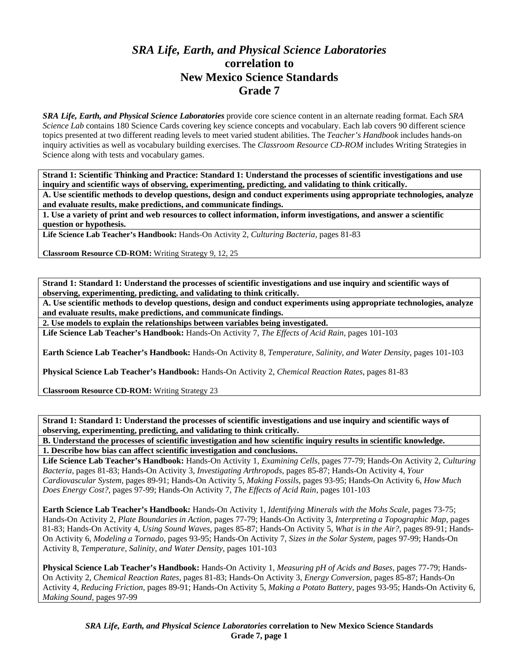## *SRA Life, Earth, and Physical Science Laboratories*  **correlation to New Mexico Science Standards Grade 7**

*SRA Life, Earth, and Physical Science Laboratories* provide core science content in an alternate reading format. Each *SRA Science Lab* contains 180 Science Cards covering key science concepts and vocabulary. Each lab covers 90 different science topics presented at two different reading levels to meet varied student abilities. The *Teacher's Handbook* includes hands-on inquiry activities as well as vocabulary building exercises. The *Classroom Resource CD-ROM* includes Writing Strategies in Science along with tests and vocabulary games.

**Strand 1: Scientific Thinking and Practice: Standard 1: Understand the processes of scientific investigations and use inquiry and scientific ways of observing, experimenting, predicting, and validating to think critically.** 

**A. Use scientific methods to develop questions, design and conduct experiments using appropriate technologies, analyze and evaluate results, make predictions, and communicate findings.** 

**1. Use a variety of print and web resources to collect information, inform investigations, and answer a scientific question or hypothesis.** 

**Life Science Lab Teacher's Handbook:** Hands-On Activity 2, *Culturing Bacteria,* pages 81-83

**Classroom Resource CD-ROM:** Writing Strategy 9, 12, 25

**Strand 1: Standard 1: Understand the processes of scientific investigations and use inquiry and scientific ways of observing, experimenting, predicting, and validating to think critically.** 

**A. Use scientific methods to develop questions, design and conduct experiments using appropriate technologies, analyze and evaluate results, make predictions, and communicate findings.** 

**2. Use models to explain the relationships between variables being investigated.** 

**Life Science Lab Teacher's Handbook:** Hands-On Activity 7, *The Effects of Acid Rain,* pages 101-103

**Earth Science Lab Teacher's Handbook:** Hands-On Activity 8, *Temperature, Salinity, and Water Density,* pages 101-103

**Physical Science Lab Teacher's Handbook:** Hands-On Activity 2, *Chemical Reaction Rates,* pages 81-83

**Classroom Resource CD-ROM:** Writing Strategy 23

**Strand 1: Standard 1: Understand the processes of scientific investigations and use inquiry and scientific ways of observing, experimenting, predicting, and validating to think critically.** 

**B. Understand the processes of scientific investigation and how scientific inquiry results in scientific knowledge. 1. Describe how bias can affect scientific investigation and conclusions.** 

**Life Science Lab Teacher's Handbook:** Hands-On Activity 1, *Examining Cells,* pages 77-79; Hands-On Activity 2, *Culturing Bacteria,* pages 81-83; Hands-On Activity 3, *Investigating Arthropods,* pages 85-87; Hands-On Activity 4, *Your Cardiovascular System,* pages 89-91; Hands-On Activity 5, *Making Fossils,* pages 93-95; Hands-On Activity 6, *How Much Does Energy Cost?,* pages 97-99; Hands-On Activity 7, *The Effects of Acid Rain,* pages 101-103

**Earth Science Lab Teacher's Handbook:** Hands-On Activity 1, *Identifying Minerals with the Mohs Scale,* pages 73-75; Hands-On Activity 2, *Plate Boundaries in Action,* pages 77-79; Hands-On Activity 3, *Interpreting a Topographic Map,* pages 81-83; Hands-On Activity 4, *Using Sound Waves,* pages 85-87; Hands-On Activity 5, *What is in the Air?,* pages 89-91; Hands-On Activity 6, *Modeling a Tornado,* pages 93-95; Hands-On Activity 7, *Sizes in the Solar System,* pages 97-99; Hands-On Activity 8, *Temperature, Salinity, and Water Density,* pages 101-103

**Physical Science Lab Teacher's Handbook:** Hands-On Activity 1, *Measuring pH of Acids and Bases,* pages 77-79; Hands-On Activity 2, *Chemical Reaction Rates,* pages 81-83; Hands-On Activity 3, *Energy Conversion,* pages 85-87; Hands-On Activity 4, *Reducing Friction,* pages 89-91; Hands-On Activity 5, *Making a Potato Battery,* pages 93-95; Hands-On Activity 6, *Making Sound,* pages 97-99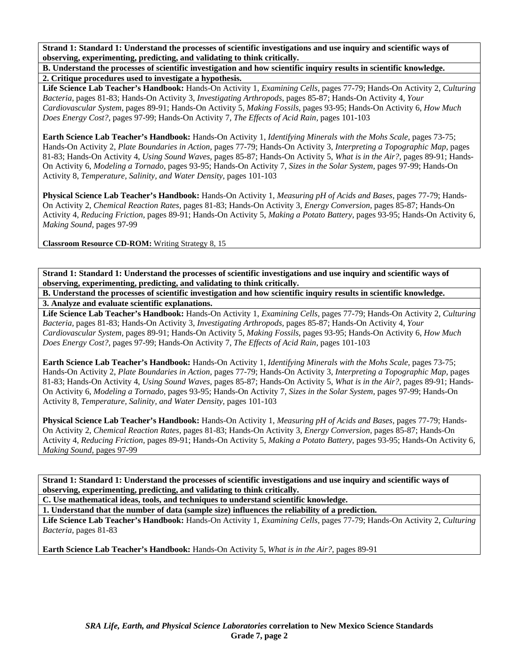**B. Understand the processes of scientific investigation and how scientific inquiry results in scientific knowledge. 2. Critique procedures used to investigate a hypothesis.** 

**Life Science Lab Teacher's Handbook:** Hands-On Activity 1, *Examining Cells,* pages 77-79; Hands-On Activity 2, *Culturing Bacteria,* pages 81-83; Hands-On Activity 3, *Investigating Arthropods,* pages 85-87; Hands-On Activity 4, *Your Cardiovascular System,* pages 89-91; Hands-On Activity 5, *Making Fossils,* pages 93-95; Hands-On Activity 6, *How Much Does Energy Cost?,* pages 97-99; Hands-On Activity 7, *The Effects of Acid Rain,* pages 101-103

**Earth Science Lab Teacher's Handbook:** Hands-On Activity 1, *Identifying Minerals with the Mohs Scale,* pages 73-75; Hands-On Activity 2, *Plate Boundaries in Action,* pages 77-79; Hands-On Activity 3, *Interpreting a Topographic Map,* pages 81-83; Hands-On Activity 4, *Using Sound Waves,* pages 85-87; Hands-On Activity 5, *What is in the Air?,* pages 89-91; Hands-On Activity 6, *Modeling a Tornado,* pages 93-95; Hands-On Activity 7, *Sizes in the Solar System,* pages 97-99; Hands-On Activity 8, *Temperature, Salinity, and Water Density,* pages 101-103

**Physical Science Lab Teacher's Handbook:** Hands-On Activity 1, *Measuring pH of Acids and Bases,* pages 77-79; Hands-On Activity 2, *Chemical Reaction Rates,* pages 81-83; Hands-On Activity 3, *Energy Conversion,* pages 85-87; Hands-On Activity 4, *Reducing Friction,* pages 89-91; Hands-On Activity 5, *Making a Potato Battery,* pages 93-95; Hands-On Activity 6, *Making Sound,* pages 97-99

**Classroom Resource CD-ROM:** Writing Strategy 8, 15

**Strand 1: Standard 1: Understand the processes of scientific investigations and use inquiry and scientific ways of observing, experimenting, predicting, and validating to think critically.** 

**B. Understand the processes of scientific investigation and how scientific inquiry results in scientific knowledge. 3. Analyze and evaluate scientific explanations.** 

**Life Science Lab Teacher's Handbook:** Hands-On Activity 1, *Examining Cells,* pages 77-79; Hands-On Activity 2, *Culturing Bacteria,* pages 81-83; Hands-On Activity 3, *Investigating Arthropods,* pages 85-87; Hands-On Activity 4, *Your Cardiovascular System,* pages 89-91; Hands-On Activity 5, *Making Fossils,* pages 93-95; Hands-On Activity 6, *How Much Does Energy Cost?,* pages 97-99; Hands-On Activity 7, *The Effects of Acid Rain,* pages 101-103

**Earth Science Lab Teacher's Handbook:** Hands-On Activity 1, *Identifying Minerals with the Mohs Scale,* pages 73-75; Hands-On Activity 2, *Plate Boundaries in Action,* pages 77-79; Hands-On Activity 3, *Interpreting a Topographic Map,* pages 81-83; Hands-On Activity 4, *Using Sound Waves,* pages 85-87; Hands-On Activity 5, *What is in the Air?,* pages 89-91; Hands-On Activity 6, *Modeling a Tornado,* pages 93-95; Hands-On Activity 7, *Sizes in the Solar System,* pages 97-99; Hands-On Activity 8, *Temperature, Salinity, and Water Density,* pages 101-103

**Physical Science Lab Teacher's Handbook:** Hands-On Activity 1, *Measuring pH of Acids and Bases,* pages 77-79; Hands-On Activity 2, *Chemical Reaction Rates,* pages 81-83; Hands-On Activity 3, *Energy Conversion,* pages 85-87; Hands-On Activity 4, *Reducing Friction,* pages 89-91; Hands-On Activity 5, *Making a Potato Battery,* pages 93-95; Hands-On Activity 6, *Making Sound,* pages 97-99

**Strand 1: Standard 1: Understand the processes of scientific investigations and use inquiry and scientific ways of observing, experimenting, predicting, and validating to think critically.** 

**C. Use mathematical ideas, tools, and techniques to understand scientific knowledge.** 

**1. Understand that the number of data (sample size) influences the reliability of a prediction.** 

**Life Science Lab Teacher's Handbook:** Hands-On Activity 1, *Examining Cells,* pages 77-79; Hands-On Activity 2, *Culturing Bacteria,* pages 81-83

**Earth Science Lab Teacher's Handbook:** Hands-On Activity 5, *What is in the Air?,* pages 89-91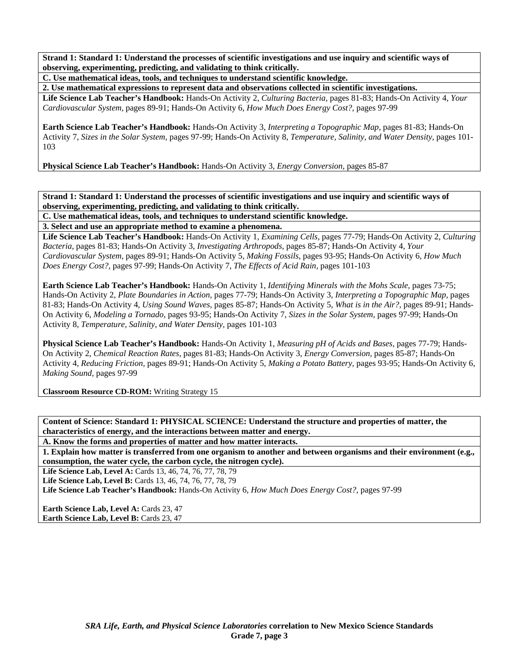**C. Use mathematical ideas, tools, and techniques to understand scientific knowledge.** 

**2. Use mathematical expressions to represent data and observations collected in scientific investigations.** 

**Life Science Lab Teacher's Handbook:** Hands-On Activity 2, *Culturing Bacteria,* pages 81-83; Hands-On Activity 4, *Your Cardiovascular System,* pages 89-91; Hands-On Activity 6, *How Much Does Energy Cost?,* pages 97-99

**Earth Science Lab Teacher's Handbook:** Hands-On Activity 3, *Interpreting a Topographic Map,* pages 81-83; Hands-On Activity 7, *Sizes in the Solar System,* pages 97-99; Hands-On Activity 8, *Temperature, Salinity, and Water Density,* pages 101- 103

**Physical Science Lab Teacher's Handbook:** Hands-On Activity 3, *Energy Conversion,* pages 85-87

**Strand 1: Standard 1: Understand the processes of scientific investigations and use inquiry and scientific ways of observing, experimenting, predicting, and validating to think critically.** 

**C. Use mathematical ideas, tools, and techniques to understand scientific knowledge.** 

**3. Select and use an appropriate method to examine a phenomena.** 

**Life Science Lab Teacher's Handbook:** Hands-On Activity 1, *Examining Cells,* pages 77-79; Hands-On Activity 2, *Culturing Bacteria,* pages 81-83; Hands-On Activity 3, *Investigating Arthropods,* pages 85-87; Hands-On Activity 4, *Your Cardiovascular System,* pages 89-91; Hands-On Activity 5, *Making Fossils,* pages 93-95; Hands-On Activity 6, *How Much Does Energy Cost?,* pages 97-99; Hands-On Activity 7, *The Effects of Acid Rain,* pages 101-103

**Earth Science Lab Teacher's Handbook:** Hands-On Activity 1, *Identifying Minerals with the Mohs Scale,* pages 73-75; Hands-On Activity 2, *Plate Boundaries in Action,* pages 77-79; Hands-On Activity 3, *Interpreting a Topographic Map,* pages 81-83; Hands-On Activity 4, *Using Sound Waves,* pages 85-87; Hands-On Activity 5, *What is in the Air?,* pages 89-91; Hands-On Activity 6, *Modeling a Tornado,* pages 93-95; Hands-On Activity 7, *Sizes in the Solar System,* pages 97-99; Hands-On Activity 8, *Temperature, Salinity, and Water Density,* pages 101-103

**Physical Science Lab Teacher's Handbook:** Hands-On Activity 1, *Measuring pH of Acids and Bases,* pages 77-79; Hands-On Activity 2, *Chemical Reaction Rates,* pages 81-83; Hands-On Activity 3, *Energy Conversion,* pages 85-87; Hands-On Activity 4, *Reducing Friction,* pages 89-91; Hands-On Activity 5, *Making a Potato Battery,* pages 93-95; Hands-On Activity 6, *Making Sound,* pages 97-99

**Classroom Resource CD-ROM:** Writing Strategy 15

**Content of Science: Standard 1: PHYSICAL SCIENCE: Understand the structure and properties of matter, the characteristics of energy, and the interactions between matter and energy.** 

**A. Know the forms and properties of matter and how matter interacts.** 

**1. Explain how matter is transferred from one organism to another and between organisms and their environment (e.g., consumption, the water cycle, the carbon cycle, the nitrogen cycle).** 

Life Science Lab, Level A: Cards 13, 46, 74, 76, 77, 78, 79

Life Science Lab, Level B: Cards 13, 46, 74, 76, 77, 78, 79

**Life Science Lab Teacher's Handbook:** Hands-On Activity 6, *How Much Does Energy Cost?,* pages 97-99

Earth Science Lab, Level A: Cards 23, 47 **Earth Science Lab, Level B: Cards 23, 47**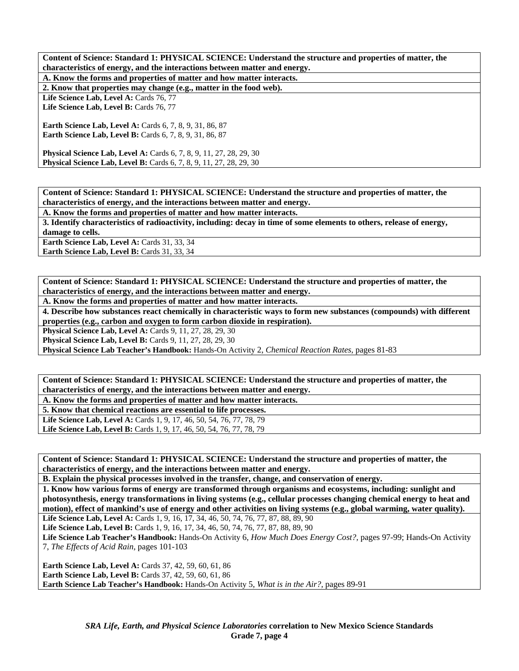**A. Know the forms and properties of matter and how matter interacts.** 

**2. Know that properties may change (e.g., matter in the food web).** 

Life Science Lab, Level A: Cards 76, 77

Life Science Lab, Level B: Cards 76, 77

**Earth Science Lab, Level A: Cards 6, 7, 8, 9, 31, 86, 87 Earth Science Lab, Level B:** Cards 6, 7, 8, 9, 31, 86, 87

**Physical Science Lab, Level A: Cards 6, 7, 8, 9, 11, 27, 28, 29, 30 Physical Science Lab, Level B:** Cards 6, 7, 8, 9, 11, 27, 28, 29, 30

**Content of Science: Standard 1: PHYSICAL SCIENCE: Understand the structure and properties of matter, the characteristics of energy, and the interactions between matter and energy.** 

**A. Know the forms and properties of matter and how matter interacts.** 

**3. Identify characteristics of radioactivity, including: decay in time of some elements to others, release of energy, damage to cells.** 

Earth Science Lab, Level A: Cards 31, 33, 34

Earth Science Lab, Level B: Cards 31, 33, 34

**Content of Science: Standard 1: PHYSICAL SCIENCE: Understand the structure and properties of matter, the characteristics of energy, and the interactions between matter and energy.** 

**A. Know the forms and properties of matter and how matter interacts.** 

**4. Describe how substances react chemically in characteristic ways to form new substances (compounds) with different properties (e.g., carbon and oxygen to form carbon dioxide in respiration).** 

**Physical Science Lab, Level A: Cards 9, 11, 27, 28, 29, 30** 

**Physical Science Lab, Level B:** Cards 9, 11, 27, 28, 29, 30

**Physical Science Lab Teacher's Handbook:** Hands-On Activity 2, *Chemical Reaction Rates,* pages 81-83

**Content of Science: Standard 1: PHYSICAL SCIENCE: Understand the structure and properties of matter, the characteristics of energy, and the interactions between matter and energy.** 

**A. Know the forms and properties of matter and how matter interacts.** 

**5. Know that chemical reactions are essential to life processes.** 

Life Science Lab, Level A: Cards 1, 9, 17, 46, 50, 54, 76, 77, 78, 79 Life Science Lab, Level B: Cards 1, 9, 17, 46, 50, 54, 76, 77, 78, 79

**Content of Science: Standard 1: PHYSICAL SCIENCE: Understand the structure and properties of matter, the characteristics of energy, and the interactions between matter and energy.** 

**B. Explain the physical processes involved in the transfer, change, and conservation of energy.** 

**1. Know how various forms of energy are transformed through organisms and ecosystems, including: sunlight and photosynthesis, energy transformations in living systems (e.g., cellular processes changing chemical energy to heat and motion), effect of mankind's use of energy and other activities on living systems (e.g., global warming, water quality).** 

Life Science Lab, Level A: Cards 1, 9, 16, 17, 34, 46, 50, 74, 76, 77, 87, 88, 89, 90

Life Science Lab, Level B: Cards 1, 9, 16, 17, 34, 46, 50, 74, 76, 77, 87, 88, 89, 90

**Life Science Lab Teacher's Handbook:** Hands-On Activity 6, *How Much Does Energy Cost?,* pages 97-99; Hands-On Activity 7, *The Effects of Acid Rain,* pages 101-103

**Earth Science Lab, Level A:** Cards 37, 42, 59, 60, 61, 86 **Earth Science Lab, Level B:** Cards 37, 42, 59, 60, 61, 86 **Earth Science Lab Teacher's Handbook:** Hands-On Activity 5, *What is in the Air?,* pages 89-91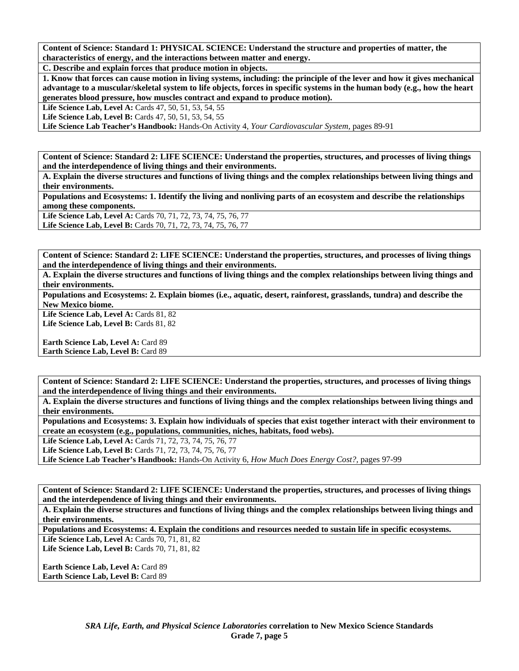**C. Describe and explain forces that produce motion in objects.** 

**1. Know that forces can cause motion in living systems, including: the principle of the lever and how it gives mechanical advantage to a muscular/skeletal system to life objects, forces in specific systems in the human body (e.g., how the heart generates blood pressure, how muscles contract and expand to produce motion).** 

Life Science Lab, Level A: Cards 47, 50, 51, 53, 54, 55

Life Science Lab, Level B: Cards 47, 50, 51, 53, 54, 55

**Life Science Lab Teacher's Handbook:** Hands-On Activity 4, *Your Cardiovascular System,* pages 89-91

**Content of Science: Standard 2: LIFE SCIENCE: Understand the properties, structures, and processes of living things and the interdependence of living things and their environments.** 

**A. Explain the diverse structures and functions of living things and the complex relationships between living things and their environments.** 

**Populations and Ecosystems: 1. Identify the living and nonliving parts of an ecosystem and describe the relationships among these components.** 

**Life Science Lab, Level A:** Cards 70, 71, 72, 73, 74, 75, 76, 77

**Life Science Lab, Level B:** Cards 70, 71, 72, 73, 74, 75, 76, 77

**Content of Science: Standard 2: LIFE SCIENCE: Understand the properties, structures, and processes of living things and the interdependence of living things and their environments.** 

**A. Explain the diverse structures and functions of living things and the complex relationships between living things and their environments.** 

**Populations and Ecosystems: 2. Explain biomes (i.e., aquatic, desert, rainforest, grasslands, tundra) and describe the New Mexico biome.** 

Life Science Lab, Level A: Cards 81, 82 Life Science Lab, Level B: Cards 81, 82

**Earth Science Lab, Level A: Card 89 Earth Science Lab, Level B: Card 89** 

**Content of Science: Standard 2: LIFE SCIENCE: Understand the properties, structures, and processes of living things and the interdependence of living things and their environments.** 

**A. Explain the diverse structures and functions of living things and the complex relationships between living things and their environments.** 

**Populations and Ecosystems: 3. Explain how individuals of species that exist together interact with their environment to create an ecosystem (e.g., populations, communities, niches, habitats, food webs).** 

**Life Science Lab, Level A:** Cards 71, 72, 73, 74, 75, 76, 77

**Life Science Lab, Level B:** Cards 71, 72, 73, 74, 75, 76, 77

**Life Science Lab Teacher's Handbook:** Hands-On Activity 6, *How Much Does Energy Cost?,* pages 97-99

**Content of Science: Standard 2: LIFE SCIENCE: Understand the properties, structures, and processes of living things and the interdependence of living things and their environments.** 

**A. Explain the diverse structures and functions of living things and the complex relationships between living things and their environments.** 

**Populations and Ecosystems: 4. Explain the conditions and resources needed to sustain life in specific ecosystems.**  Life Science Lab, Level A: Cards 70, 71, 81, 82

Life Science Lab, Level B: Cards 70, 71, 81, 82

**Earth Science Lab, Level A:** Card 89 **Earth Science Lab, Level B:** Card 89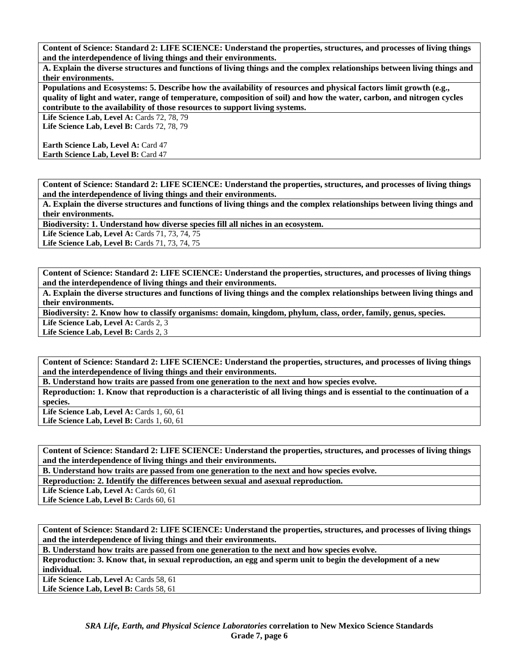**A. Explain the diverse structures and functions of living things and the complex relationships between living things and their environments.** 

**Populations and Ecosystems: 5. Describe how the availability of resources and physical factors limit growth (e.g., quality of light and water, range of temperature, composition of soil) and how the water, carbon, and nitrogen cycles contribute to the availability of those resources to support living systems.** 

Life Science Lab, Level A: Cards 72, 78, 79 Life Science Lab, Level B: Cards 72, 78, 79

**Earth Science Lab, Level A: Card 47** 

**Earth Science Lab, Level B: Card 47** 

**Content of Science: Standard 2: LIFE SCIENCE: Understand the properties, structures, and processes of living things and the interdependence of living things and their environments.** 

**A. Explain the diverse structures and functions of living things and the complex relationships between living things and their environments.** 

**Biodiversity: 1. Understand how diverse species fill all niches in an ecosystem.** 

Life Science Lab, Level A: Cards 71, 73, 74, 75

Life Science Lab, Level B: Cards 71, 73, 74, 75

**Content of Science: Standard 2: LIFE SCIENCE: Understand the properties, structures, and processes of living things and the interdependence of living things and their environments.** 

**A. Explain the diverse structures and functions of living things and the complex relationships between living things and their environments.** 

**Biodiversity: 2. Know how to classify organisms: domain, kingdom, phylum, class, order, family, genus, species.**  Life Science Lab, Level A: Cards 2, 3

Life Science Lab, Level B: Cards 2, 3

**Content of Science: Standard 2: LIFE SCIENCE: Understand the properties, structures, and processes of living things and the interdependence of living things and their environments.** 

**B. Understand how traits are passed from one generation to the next and how species evolve.** 

**Reproduction: 1. Know that reproduction is a characteristic of all living things and is essential to the continuation of a species.** 

Life Science Lab, Level A: Cards 1, 60, 61 **Life Science Lab, Level B: Cards 1, 60, 61** 

**Content of Science: Standard 2: LIFE SCIENCE: Understand the properties, structures, and processes of living things and the interdependence of living things and their environments.** 

**B. Understand how traits are passed from one generation to the next and how species evolve.** 

**Reproduction: 2. Identify the differences between sexual and asexual reproduction.** 

Life Science Lab, Level A: Cards 60, 61

Life Science Lab, Level B: Cards 60, 61

**Content of Science: Standard 2: LIFE SCIENCE: Understand the properties, structures, and processes of living things and the interdependence of living things and their environments.** 

**B. Understand how traits are passed from one generation to the next and how species evolve.** 

**Reproduction: 3. Know that, in sexual reproduction, an egg and sperm unit to begin the development of a new individual.** 

Life Science Lab, Level A: Cards 58, 61 Life Science Lab, Level B: Cards 58, 61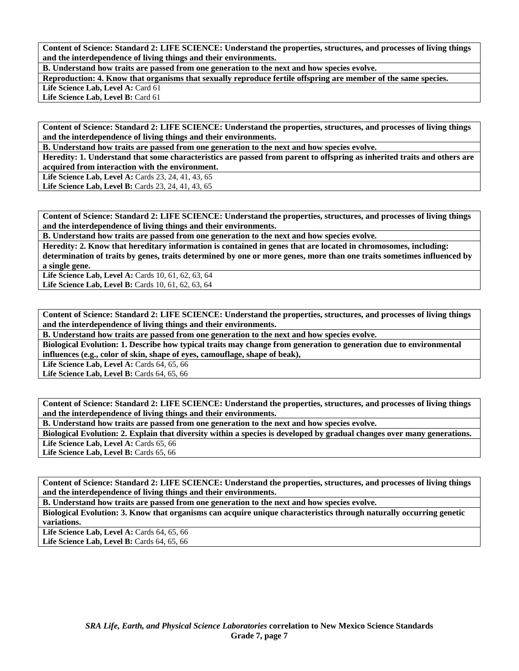**B. Understand how traits are passed from one generation to the next and how species evolve.** 

**Reproduction: 4. Know that organisms that sexually reproduce fertile offspring are member of the same species.**  Life Science Lab, Level A: Card 61

Life Science Lab, Level B: Card 61

**Content of Science: Standard 2: LIFE SCIENCE: Understand the properties, structures, and processes of living things and the interdependence of living things and their environments.** 

**B. Understand how traits are passed from one generation to the next and how species evolve.** 

**Heredity: 1. Understand that some characteristics are passed from parent to offspring as inherited traits and others are acquired from interaction with the environment.** 

Life Science Lab, Level A: Cards 23, 24, 41, 43, 65 Life Science Lab, Level B: Cards 23, 24, 41, 43, 65

**Content of Science: Standard 2: LIFE SCIENCE: Understand the properties, structures, and processes of living things and the interdependence of living things and their environments.** 

**B. Understand how traits are passed from one generation to the next and how species evolve.** 

**Heredity: 2. Know that hereditary information is contained in genes that are located in chromosomes, including: determination of traits by genes, traits determined by one or more genes, more than one traits sometimes influenced by a single gene.** 

**Life Science Lab, Level A:** Cards 10, 61, 62, 63, 64 Life Science Lab, Level B: Cards 10, 61, 62, 63, 64

**Content of Science: Standard 2: LIFE SCIENCE: Understand the properties, structures, and processes of living things and the interdependence of living things and their environments.** 

**B. Understand how traits are passed from one generation to the next and how species evolve.** 

**Biological Evolution: 1. Describe how typical traits may change from generation to generation due to environmental influences (e.g., color of skin, shape of eyes, camouflage, shape of beak),** 

Life Science Lab, Level A: Cards 64, 65, 66

Life Science Lab, Level B: Cards 64, 65, 66

**Content of Science: Standard 2: LIFE SCIENCE: Understand the properties, structures, and processes of living things and the interdependence of living things and their environments.** 

**B. Understand how traits are passed from one generation to the next and how species evolve.** 

**Biological Evolution: 2. Explain that diversity within a species is developed by gradual changes over many generations.**  Life Science Lab, Level A: Cards 65, 66

Life Science Lab, Level B: Cards 65, 66

**Content of Science: Standard 2: LIFE SCIENCE: Understand the properties, structures, and processes of living things and the interdependence of living things and their environments.** 

**B. Understand how traits are passed from one generation to the next and how species evolve.** 

**Biological Evolution: 3. Know that organisms can acquire unique characteristics through naturally occurring genetic variations.** 

Life Science Lab, Level A: Cards 64, 65, 66 Life Science Lab, Level B: Cards 64, 65, 66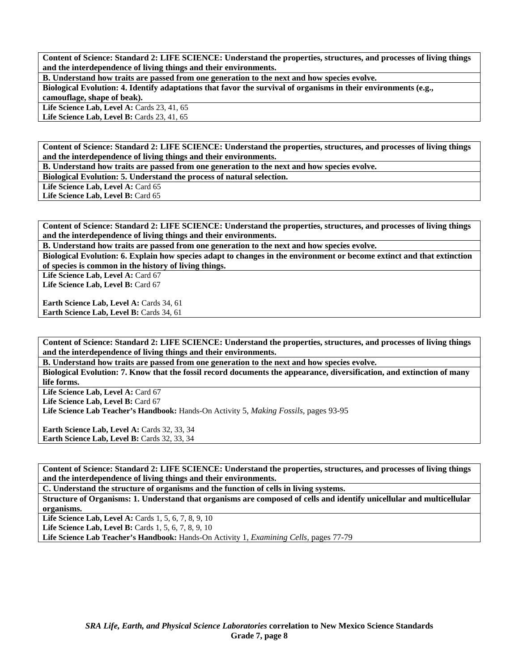**B. Understand how traits are passed from one generation to the next and how species evolve.** 

**Biological Evolution: 4. Identify adaptations that favor the survival of organisms in their environments (e.g., camouflage, shape of beak).** 

**Life Science Lab, Level A: Cards 23, 41, 65** 

Life Science Lab, Level B: Cards 23, 41, 65

**Content of Science: Standard 2: LIFE SCIENCE: Understand the properties, structures, and processes of living things and the interdependence of living things and their environments.** 

**B. Understand how traits are passed from one generation to the next and how species evolve.** 

**Biological Evolution: 5. Understand the process of natural selection.** 

Life Science Lab, Level A: Card 65

Life Science Lab, Level B: Card 65

**Content of Science: Standard 2: LIFE SCIENCE: Understand the properties, structures, and processes of living things and the interdependence of living things and their environments.** 

**B. Understand how traits are passed from one generation to the next and how species evolve.** 

**Biological Evolution: 6. Explain how species adapt to changes in the environment or become extinct and that extinction of species is common in the history of living things.** 

Life Science Lab, Level A: Card 67 Life Science Lab, Level B: Card 67

Earth Science Lab, Level A: Cards 34, 61 Earth Science Lab, Level B: Cards 34, 61

**Content of Science: Standard 2: LIFE SCIENCE: Understand the properties, structures, and processes of living things and the interdependence of living things and their environments.** 

**B. Understand how traits are passed from one generation to the next and how species evolve.** 

**Biological Evolution: 7. Know that the fossil record documents the appearance, diversification, and extinction of many life forms.** 

Life Science Lab, Level A: Card 67

Life Science Lab, Level B: Card 67

**Life Science Lab Teacher's Handbook:** Hands-On Activity 5, *Making Fossils,* pages 93-95

**Earth Science Lab, Level A: Cards 32, 33, 34** Earth Science Lab, Level B: Cards 32, 33, 34

**Content of Science: Standard 2: LIFE SCIENCE: Understand the properties, structures, and processes of living things and the interdependence of living things and their environments.** 

**C. Understand the structure of organisms and the function of cells in living systems.** 

**Structure of Organisms: 1. Understand that organisms are composed of cells and identify unicellular and multicellular organisms.** 

Life Science Lab, Level A: Cards 1, 5, 6, 7, 8, 9, 10

**Life Science Lab, Level B:** Cards 1, 5, 6, 7, 8, 9, 10

**Life Science Lab Teacher's Handbook:** Hands-On Activity 1, *Examining Cells,* pages 77-79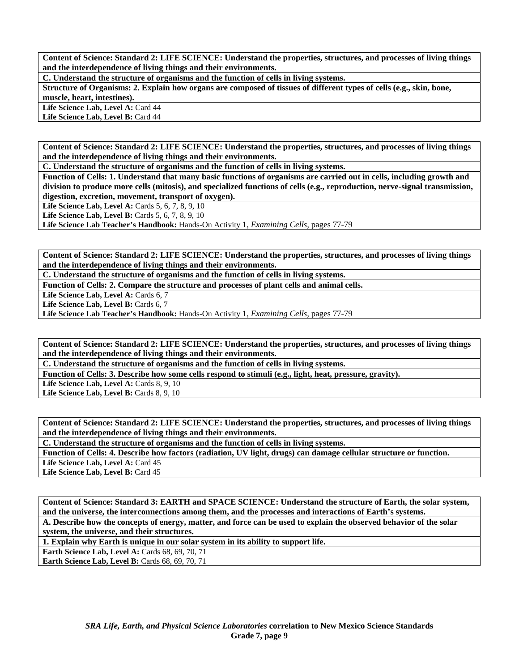**C. Understand the structure of organisms and the function of cells in living systems.** 

**Structure of Organisms: 2. Explain how organs are composed of tissues of different types of cells (e.g., skin, bone, muscle, heart, intestines).** 

Life Science Lab, Level A: Card 44 Life Science Lab, Level B: Card 44

**Content of Science: Standard 2: LIFE SCIENCE: Understand the properties, structures, and processes of living things and the interdependence of living things and their environments.** 

**C. Understand the structure of organisms and the function of cells in living systems.** 

**Function of Cells: 1. Understand that many basic functions of organisms are carried out in cells, including growth and division to produce more cells (mitosis), and specialized functions of cells (e.g., reproduction, nerve-signal transmission, digestion, excretion, movement, transport of oxygen).** 

**Life Science Lab, Level A: Cards 5, 6, 7, 8, 9, 10** 

**Life Science Lab, Level B:** Cards 5, 6, 7, 8, 9, 10

**Life Science Lab Teacher's Handbook:** Hands-On Activity 1, *Examining Cells,* pages 77-79

**Content of Science: Standard 2: LIFE SCIENCE: Understand the properties, structures, and processes of living things and the interdependence of living things and their environments.** 

**C. Understand the structure of organisms and the function of cells in living systems.** 

**Function of Cells: 2. Compare the structure and processes of plant cells and animal cells.** 

Life Science Lab, Level A: Cards 6, 7

Life Science Lab, Level B: Cards 6, 7

**Life Science Lab Teacher's Handbook:** Hands-On Activity 1, *Examining Cells,* pages 77-79

**Content of Science: Standard 2: LIFE SCIENCE: Understand the properties, structures, and processes of living things and the interdependence of living things and their environments.** 

**C. Understand the structure of organisms and the function of cells in living systems.** 

**Function of Cells: 3. Describe how some cells respond to stimuli (e.g., light, heat, pressure, gravity).** 

Life Science Lab, Level A: Cards 8, 9, 10

Life Science Lab, Level B: Cards 8, 9, 10

**Content of Science: Standard 2: LIFE SCIENCE: Understand the properties, structures, and processes of living things and the interdependence of living things and their environments.** 

**C. Understand the structure of organisms and the function of cells in living systems.** 

**Function of Cells: 4. Describe how factors (radiation, UV light, drugs) can damage cellular structure or function.** 

Life Science Lab, Level A: Card 45

Life Science Lab, Level B: Card 45

**Content of Science: Standard 3: EARTH and SPACE SCIENCE: Understand the structure of Earth, the solar system, and the universe, the interconnections among them, and the processes and interactions of Earth's systems.** 

**A. Describe how the concepts of energy, matter, and force can be used to explain the observed behavior of the solar system, the universe, and their structures.** 

**1. Explain why Earth is unique in our solar system in its ability to support life.** 

**Earth Science Lab, Level A: Cards 68, 69, 70, 71** 

**Earth Science Lab, Level B: Cards 68, 69, 70, 71**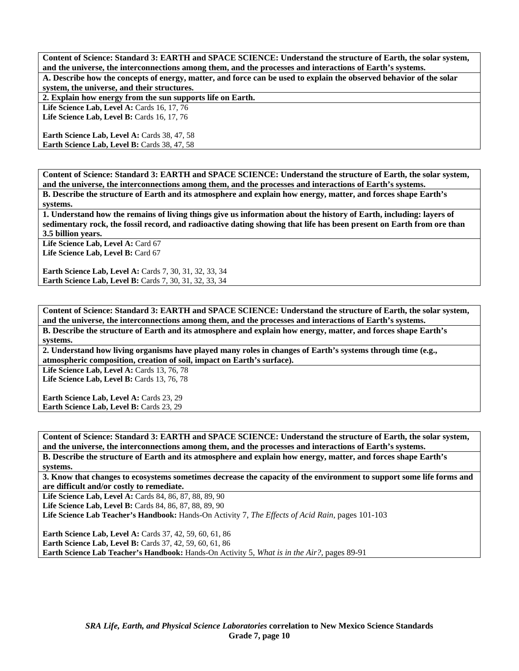**Content of Science: Standard 3: EARTH and SPACE SCIENCE: Understand the structure of Earth, the solar system, and the universe, the interconnections among them, and the processes and interactions of Earth's systems. A. Describe how the concepts of energy, matter, and force can be used to explain the observed behavior of the solar system, the universe, and their structures.** 

**2. Explain how energy from the sun supports life on Earth.** 

**Life Science Lab, Level A: Cards 16, 17, 76** Life Science Lab, Level B: Cards 16, 17, 76

Earth Science Lab, Level A: Cards 38, 47, 58 Earth Science Lab, Level B: Cards 38, 47, 58

**Content of Science: Standard 3: EARTH and SPACE SCIENCE: Understand the structure of Earth, the solar system, and the universe, the interconnections among them, and the processes and interactions of Earth's systems.** 

**B. Describe the structure of Earth and its atmosphere and explain how energy, matter, and forces shape Earth's systems.** 

**1. Understand how the remains of living things give us information about the history of Earth, including: layers of sedimentary rock, the fossil record, and radioactive dating showing that life has been present on Earth from ore than 3.5 billion years.** 

Life Science Lab, Level A: Card 67 Life Science Lab, Level B: Card 67

**Earth Science Lab, Level A:** Cards 7, 30, 31, 32, 33, 34 **Earth Science Lab, Level B:** Cards 7, 30, 31, 32, 33, 34

**Content of Science: Standard 3: EARTH and SPACE SCIENCE: Understand the structure of Earth, the solar system, and the universe, the interconnections among them, and the processes and interactions of Earth's systems. B. Describe the structure of Earth and its atmosphere and explain how energy, matter, and forces shape Earth's systems.** 

**2. Understand how living organisms have played many roles in changes of Earth's systems through time (e.g., atmospheric composition, creation of soil, impact on Earth's surface).** 

**Life Science Lab, Level A: Cards 13, 76, 78** Life Science Lab, Level B: Cards 13, 76, 78

**Earth Science Lab, Level A: Cards 23, 29 Earth Science Lab, Level B: Cards 23, 29** 

**Content of Science: Standard 3: EARTH and SPACE SCIENCE: Understand the structure of Earth, the solar system, and the universe, the interconnections among them, and the processes and interactions of Earth's systems.** 

**B. Describe the structure of Earth and its atmosphere and explain how energy, matter, and forces shape Earth's systems.** 

**3. Know that changes to ecosystems sometimes decrease the capacity of the environment to support some life forms and are difficult and/or costly to remediate.** 

Life Science Lab, Level A: Cards 84, 86, 87, 88, 89, 90

Life Science Lab, Level B: Cards 84, 86, 87, 88, 89, 90

**Life Science Lab Teacher's Handbook:** Hands-On Activity 7, *The Effects of Acid Rain,* pages 101-103

**Earth Science Lab, Level A: Cards 37, 42, 59, 60, 61, 86 Earth Science Lab, Level B:** Cards 37, 42, 59, 60, 61, 86 **Earth Science Lab Teacher's Handbook:** Hands-On Activity 5, *What is in the Air?,* pages 89-91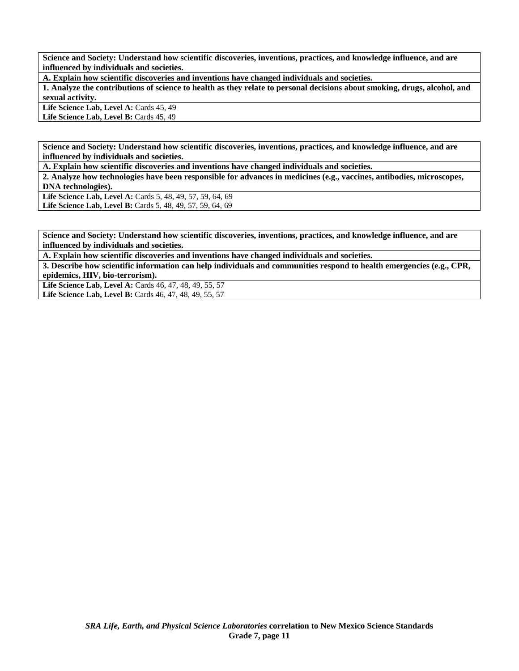**Science and Society: Understand how scientific discoveries, inventions, practices, and knowledge influence, and are influenced by individuals and societies.** 

**A. Explain how scientific discoveries and inventions have changed individuals and societies.** 

**1. Analyze the contributions of science to health as they relate to personal decisions about smoking, drugs, alcohol, and sexual activity.** 

Life Science Lab, Level A: Cards 45, 49 Life Science Lab, Level B: Cards 45, 49

**Science and Society: Understand how scientific discoveries, inventions, practices, and knowledge influence, and are influenced by individuals and societies.** 

**A. Explain how scientific discoveries and inventions have changed individuals and societies.** 

**2. Analyze how technologies have been responsible for advances in medicines (e.g., vaccines, antibodies, microscopes, DNA technologies).** 

**Life Science Lab, Level A:** Cards 5, 48, 49, 57, 59, 64, 69 Life Science Lab, Level B: Cards 5, 48, 49, 57, 59, 64, 69

**Science and Society: Understand how scientific discoveries, inventions, practices, and knowledge influence, and are influenced by individuals and societies.** 

**A. Explain how scientific discoveries and inventions have changed individuals and societies.** 

**3. Describe how scientific information can help individuals and communities respond to health emergencies (e.g., CPR, epidemics, HIV, bio-terrorism).** 

**Life Science Lab, Level A:** Cards 46, 47, 48, 49, 55, 57

**Life Science Lab, Level B:** Cards 46, 47, 48, 49, 55, 57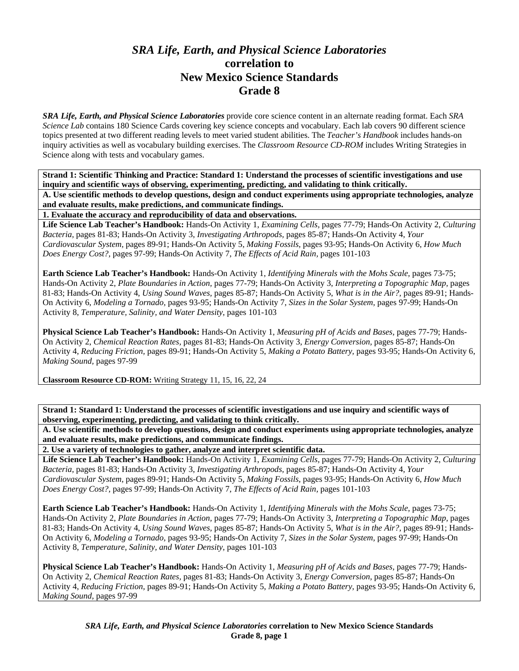## *SRA Life, Earth, and Physical Science Laboratories*  **correlation to New Mexico Science Standards Grade 8**

*SRA Life, Earth, and Physical Science Laboratories* provide core science content in an alternate reading format. Each *SRA Science Lab* contains 180 Science Cards covering key science concepts and vocabulary. Each lab covers 90 different science topics presented at two different reading levels to meet varied student abilities. The *Teacher's Handbook* includes hands-on inquiry activities as well as vocabulary building exercises. The *Classroom Resource CD-ROM* includes Writing Strategies in Science along with tests and vocabulary games.

**Strand 1: Scientific Thinking and Practice: Standard 1: Understand the processes of scientific investigations and use inquiry and scientific ways of observing, experimenting, predicting, and validating to think critically.** 

**A. Use scientific methods to develop questions, design and conduct experiments using appropriate technologies, analyze and evaluate results, make predictions, and communicate findings.** 

**1. Evaluate the accuracy and reproducibility of data and observations.** 

**Life Science Lab Teacher's Handbook:** Hands-On Activity 1, *Examining Cells,* pages 77-79; Hands-On Activity 2, *Culturing Bacteria,* pages 81-83; Hands-On Activity 3, *Investigating Arthropods,* pages 85-87; Hands-On Activity 4, *Your Cardiovascular System,* pages 89-91; Hands-On Activity 5, *Making Fossils,* pages 93-95; Hands-On Activity 6, *How Much Does Energy Cost?,* pages 97-99; Hands-On Activity 7, *The Effects of Acid Rain,* pages 101-103

**Earth Science Lab Teacher's Handbook:** Hands-On Activity 1, *Identifying Minerals with the Mohs Scale,* pages 73-75; Hands-On Activity 2, *Plate Boundaries in Action,* pages 77-79; Hands-On Activity 3, *Interpreting a Topographic Map,* pages 81-83; Hands-On Activity 4, *Using Sound Waves,* pages 85-87; Hands-On Activity 5, *What is in the Air?,* pages 89-91; Hands-On Activity 6, *Modeling a Tornado,* pages 93-95; Hands-On Activity 7, *Sizes in the Solar System,* pages 97-99; Hands-On Activity 8, *Temperature, Salinity, and Water Density,* pages 101-103

**Physical Science Lab Teacher's Handbook:** Hands-On Activity 1, *Measuring pH of Acids and Bases,* pages 77-79; Hands-On Activity 2, *Chemical Reaction Rates,* pages 81-83; Hands-On Activity 3, *Energy Conversion,* pages 85-87; Hands-On Activity 4, *Reducing Friction,* pages 89-91; Hands-On Activity 5, *Making a Potato Battery,* pages 93-95; Hands-On Activity 6, *Making Sound,* pages 97-99

**Classroom Resource CD-ROM:** Writing Strategy 11, 15, 16, 22, 24

**Strand 1: Standard 1: Understand the processes of scientific investigations and use inquiry and scientific ways of observing, experimenting, predicting, and validating to think critically.** 

**A. Use scientific methods to develop questions, design and conduct experiments using appropriate technologies, analyze and evaluate results, make predictions, and communicate findings.** 

**2. Use a variety of technologies to gather, analyze and interpret scientific data.** 

**Life Science Lab Teacher's Handbook:** Hands-On Activity 1, *Examining Cells,* pages 77-79; Hands-On Activity 2, *Culturing Bacteria,* pages 81-83; Hands-On Activity 3, *Investigating Arthropods,* pages 85-87; Hands-On Activity 4, *Your Cardiovascular System,* pages 89-91; Hands-On Activity 5, *Making Fossils,* pages 93-95; Hands-On Activity 6, *How Much Does Energy Cost?,* pages 97-99; Hands-On Activity 7, *The Effects of Acid Rain,* pages 101-103

**Earth Science Lab Teacher's Handbook:** Hands-On Activity 1, *Identifying Minerals with the Mohs Scale,* pages 73-75; Hands-On Activity 2, *Plate Boundaries in Action,* pages 77-79; Hands-On Activity 3, *Interpreting a Topographic Map,* pages 81-83; Hands-On Activity 4, *Using Sound Waves,* pages 85-87; Hands-On Activity 5, *What is in the Air?,* pages 89-91; Hands-On Activity 6, *Modeling a Tornado,* pages 93-95; Hands-On Activity 7, *Sizes in the Solar System,* pages 97-99; Hands-On Activity 8, *Temperature, Salinity, and Water Density,* pages 101-103

**Physical Science Lab Teacher's Handbook:** Hands-On Activity 1, *Measuring pH of Acids and Bases,* pages 77-79; Hands-On Activity 2, *Chemical Reaction Rates,* pages 81-83; Hands-On Activity 3, *Energy Conversion,* pages 85-87; Hands-On Activity 4, *Reducing Friction,* pages 89-91; Hands-On Activity 5, *Making a Potato Battery,* pages 93-95; Hands-On Activity 6, *Making Sound,* pages 97-99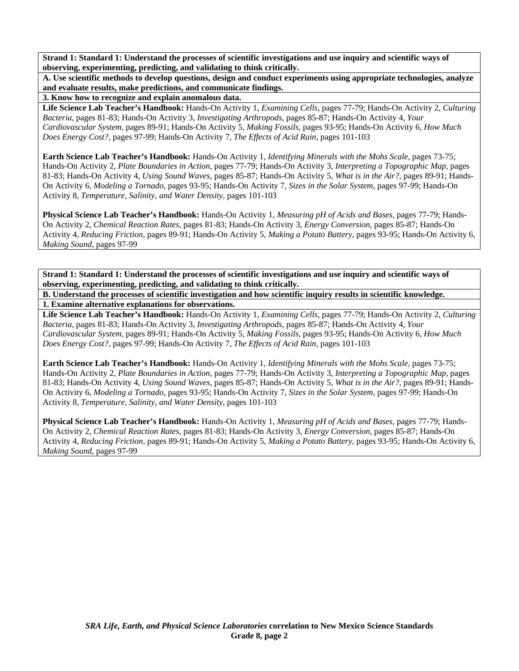**A. Use scientific methods to develop questions, design and conduct experiments using appropriate technologies, analyze and evaluate results, make predictions, and communicate findings.** 

**3. Know how to recognize and explain anomalous data.** 

**Life Science Lab Teacher's Handbook:** Hands-On Activity 1, *Examining Cells,* pages 77-79; Hands-On Activity 2, *Culturing Bacteria,* pages 81-83; Hands-On Activity 3, *Investigating Arthropods,* pages 85-87; Hands-On Activity 4, *Your Cardiovascular System,* pages 89-91; Hands-On Activity 5, *Making Fossils,* pages 93-95; Hands-On Activity 6, *How Much Does Energy Cost?,* pages 97-99; Hands-On Activity 7, *The Effects of Acid Rain,* pages 101-103

**Earth Science Lab Teacher's Handbook:** Hands-On Activity 1, *Identifying Minerals with the Mohs Scale,* pages 73-75; Hands-On Activity 2, *Plate Boundaries in Action,* pages 77-79; Hands-On Activity 3, *Interpreting a Topographic Map,* pages 81-83; Hands-On Activity 4, *Using Sound Waves,* pages 85-87; Hands-On Activity 5, *What is in the Air?,* pages 89-91; Hands-On Activity 6, *Modeling a Tornado,* pages 93-95; Hands-On Activity 7, *Sizes in the Solar System,* pages 97-99; Hands-On Activity 8, *Temperature, Salinity, and Water Density,* pages 101-103

**Physical Science Lab Teacher's Handbook:** Hands-On Activity 1, *Measuring pH of Acids and Bases,* pages 77-79; Hands-On Activity 2, *Chemical Reaction Rates,* pages 81-83; Hands-On Activity 3, *Energy Conversion,* pages 85-87; Hands-On Activity 4, *Reducing Friction,* pages 89-91; Hands-On Activity 5, *Making a Potato Battery,* pages 93-95; Hands-On Activity 6, *Making Sound,* pages 97-99

**Strand 1: Standard 1: Understand the processes of scientific investigations and use inquiry and scientific ways of observing, experimenting, predicting, and validating to think critically.** 

**B. Understand the processes of scientific investigation and how scientific inquiry results in scientific knowledge. 1. Examine alternative explanations for observations.** 

**Life Science Lab Teacher's Handbook:** Hands-On Activity 1, *Examining Cells,* pages 77-79; Hands-On Activity 2, *Culturing Bacteria,* pages 81-83; Hands-On Activity 3, *Investigating Arthropods,* pages 85-87; Hands-On Activity 4, *Your Cardiovascular System,* pages 89-91; Hands-On Activity 5, *Making Fossils,* pages 93-95; Hands-On Activity 6, *How Much Does Energy Cost?,* pages 97-99; Hands-On Activity 7, *The Effects of Acid Rain,* pages 101-103

**Earth Science Lab Teacher's Handbook:** Hands-On Activity 1, *Identifying Minerals with the Mohs Scale,* pages 73-75; Hands-On Activity 2, *Plate Boundaries in Action,* pages 77-79; Hands-On Activity 3, *Interpreting a Topographic Map,* pages 81-83; Hands-On Activity 4, *Using Sound Waves,* pages 85-87; Hands-On Activity 5, *What is in the Air?,* pages 89-91; Hands-On Activity 6, *Modeling a Tornado,* pages 93-95; Hands-On Activity 7, *Sizes in the Solar System,* pages 97-99; Hands-On Activity 8, *Temperature, Salinity, and Water Density,* pages 101-103

**Physical Science Lab Teacher's Handbook:** Hands-On Activity 1, *Measuring pH of Acids and Bases,* pages 77-79; Hands-On Activity 2, *Chemical Reaction Rates,* pages 81-83; Hands-On Activity 3, *Energy Conversion,* pages 85-87; Hands-On Activity 4, *Reducing Friction,* pages 89-91; Hands-On Activity 5, *Making a Potato Battery,* pages 93-95; Hands-On Activity 6, *Making Sound,* pages 97-99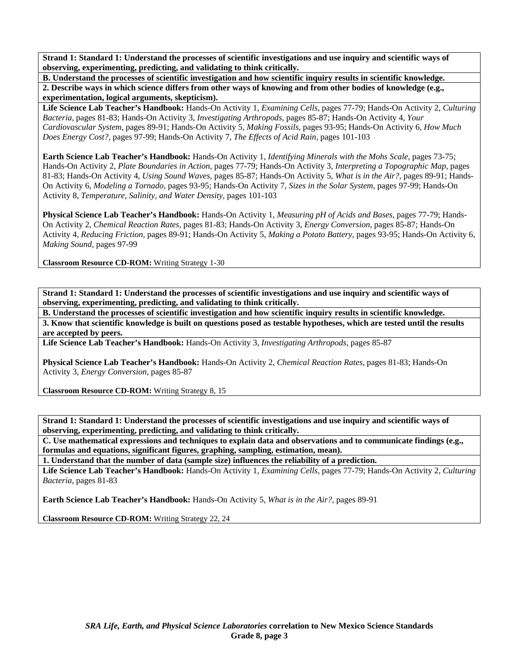**B. Understand the processes of scientific investigation and how scientific inquiry results in scientific knowledge. 2. Describe ways in which science differs from other ways of knowing and from other bodies of knowledge (e.g., experimentation, logical arguments, skepticism).** 

**Life Science Lab Teacher's Handbook:** Hands-On Activity 1, *Examining Cells,* pages 77-79; Hands-On Activity 2, *Culturing Bacteria,* pages 81-83; Hands-On Activity 3, *Investigating Arthropods,* pages 85-87; Hands-On Activity 4, *Your Cardiovascular System,* pages 89-91; Hands-On Activity 5, *Making Fossils,* pages 93-95; Hands-On Activity 6, *How Much Does Energy Cost?,* pages 97-99; Hands-On Activity 7, *The Effects of Acid Rain,* pages 101-103

**Earth Science Lab Teacher's Handbook:** Hands-On Activity 1, *Identifying Minerals with the Mohs Scale,* pages 73-75; Hands-On Activity 2, *Plate Boundaries in Action,* pages 77-79; Hands-On Activity 3, *Interpreting a Topographic Map,* pages 81-83; Hands-On Activity 4, *Using Sound Waves,* pages 85-87; Hands-On Activity 5, *What is in the Air?,* pages 89-91; Hands-On Activity 6, *Modeling a Tornado,* pages 93-95; Hands-On Activity 7, *Sizes in the Solar System,* pages 97-99; Hands-On Activity 8, *Temperature, Salinity, and Water Density,* pages 101-103

**Physical Science Lab Teacher's Handbook:** Hands-On Activity 1, *Measuring pH of Acids and Bases,* pages 77-79; Hands-On Activity 2, *Chemical Reaction Rates,* pages 81-83; Hands-On Activity 3, *Energy Conversion,* pages 85-87; Hands-On Activity 4, *Reducing Friction,* pages 89-91; Hands-On Activity 5, *Making a Potato Battery,* pages 93-95; Hands-On Activity 6, *Making Sound,* pages 97-99

**Classroom Resource CD-ROM:** Writing Strategy 1-30

**Strand 1: Standard 1: Understand the processes of scientific investigations and use inquiry and scientific ways of observing, experimenting, predicting, and validating to think critically.** 

**B. Understand the processes of scientific investigation and how scientific inquiry results in scientific knowledge. 3. Know that scientific knowledge is built on questions posed as testable hypotheses, which are tested until the results are accepted by peers.** 

**Life Science Lab Teacher's Handbook:** Hands-On Activity 3, *Investigating Arthropods,* pages 85-87

**Physical Science Lab Teacher's Handbook:** Hands-On Activity 2, *Chemical Reaction Rates,* pages 81-83; Hands-On Activity 3, *Energy Conversion,* pages 85-87

**Classroom Resource CD-ROM:** Writing Strategy 8, 15

**Strand 1: Standard 1: Understand the processes of scientific investigations and use inquiry and scientific ways of observing, experimenting, predicting, and validating to think critically.** 

**C. Use mathematical expressions and techniques to explain data and observations and to communicate findings (e.g., formulas and equations, significant figures, graphing, sampling, estimation, mean).** 

**1. Understand that the number of data (sample size) influences the reliability of a prediction.** 

**Life Science Lab Teacher's Handbook:** Hands-On Activity 1, *Examining Cells,* pages 77-79; Hands-On Activity 2, *Culturing Bacteria,* pages 81-83

**Earth Science Lab Teacher's Handbook:** Hands-On Activity 5, *What is in the Air?,* pages 89-91

**Classroom Resource CD-ROM:** Writing Strategy 22, 24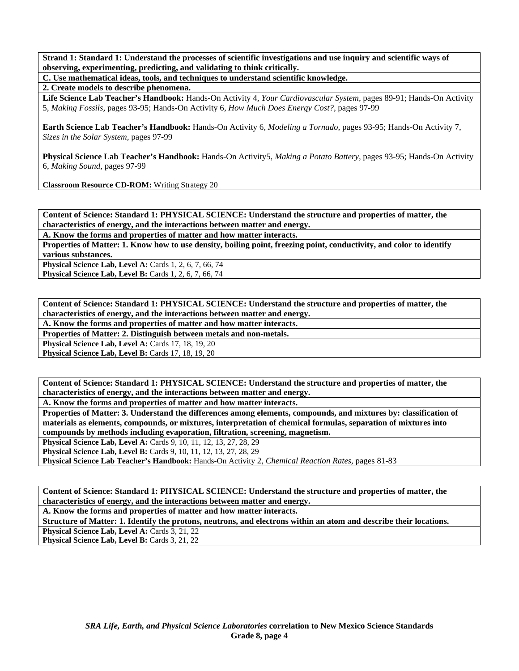**C. Use mathematical ideas, tools, and techniques to understand scientific knowledge.** 

**2. Create models to describe phenomena.** 

**Life Science Lab Teacher's Handbook:** Hands-On Activity 4, *Your Cardiovascular System,* pages 89-91; Hands-On Activity 5, *Making Fossils,* pages 93-95; Hands-On Activity 6, *How Much Does Energy Cost?,* pages 97-99

**Earth Science Lab Teacher's Handbook:** Hands-On Activity 6, *Modeling a Tornado,* pages 93-95; Hands-On Activity 7, *Sizes in the Solar System,* pages 97-99

**Physical Science Lab Teacher's Handbook:** Hands-On Activity5, *Making a Potato Battery,* pages 93-95; Hands-On Activity 6, *Making Sound,* pages 97-99

**Classroom Resource CD-ROM:** Writing Strategy 20

**Content of Science: Standard 1: PHYSICAL SCIENCE: Understand the structure and properties of matter, the characteristics of energy, and the interactions between matter and energy.** 

**A. Know the forms and properties of matter and how matter interacts.** 

**Properties of Matter: 1. Know how to use density, boiling point, freezing point, conductivity, and color to identify various substances.** 

**Physical Science Lab, Level A: Cards 1, 2, 6, 7, 66, 74 Physical Science Lab, Level B:** Cards 1, 2, 6, 7, 66, 74

**Content of Science: Standard 1: PHYSICAL SCIENCE: Understand the structure and properties of matter, the characteristics of energy, and the interactions between matter and energy.** 

**A. Know the forms and properties of matter and how matter interacts.** 

**Properties of Matter: 2. Distinguish between metals and non-metals.** 

**Physical Science Lab, Level A: Cards 17, 18, 19, 20** 

**Physical Science Lab, Level B: Cards 17, 18, 19, 20** 

**Content of Science: Standard 1: PHYSICAL SCIENCE: Understand the structure and properties of matter, the characteristics of energy, and the interactions between matter and energy.** 

**A. Know the forms and properties of matter and how matter interacts.** 

**Properties of Matter: 3. Understand the differences among elements, compounds, and mixtures by: classification of materials as elements, compounds, or mixtures, interpretation of chemical formulas, separation of mixtures into compounds by methods including evaporation, filtration, screening, magnetism.** 

**Physical Science Lab, Level A:** Cards 9, 10, 11, 12, 13, 27, 28, 29

**Physical Science Lab, Level B:** Cards 9, 10, 11, 12, 13, 27, 28, 29

**Physical Science Lab Teacher's Handbook:** Hands-On Activity 2, *Chemical Reaction Rates,* pages 81-83

**Content of Science: Standard 1: PHYSICAL SCIENCE: Understand the structure and properties of matter, the characteristics of energy, and the interactions between matter and energy.** 

**A. Know the forms and properties of matter and how matter interacts.** 

**Structure of Matter: 1. Identify the protons, neutrons, and electrons within an atom and describe their locations.** 

Physical Science Lab, Level A: Cards 3, 21, 22

Physical Science Lab, Level B: Cards 3, 21, 22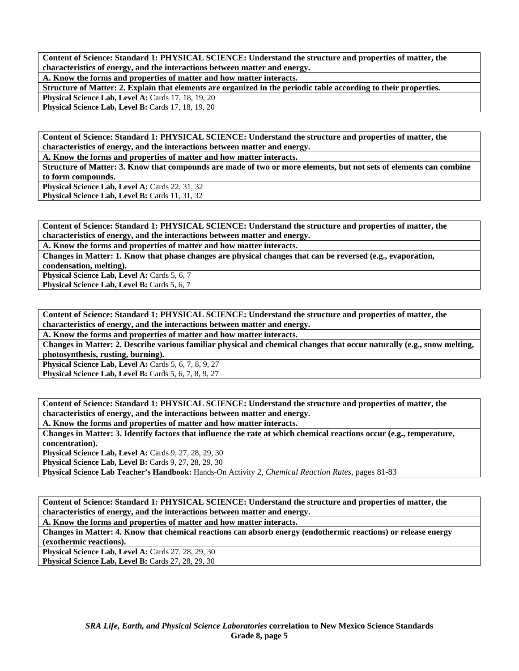**A. Know the forms and properties of matter and how matter interacts.** 

**Structure of Matter: 2. Explain that elements are organized in the periodic table according to their properties.** 

**Physical Science Lab, Level A: Cards 17, 18, 19, 20** 

**Physical Science Lab, Level B: Cards 17, 18, 19, 20** 

**Content of Science: Standard 1: PHYSICAL SCIENCE: Understand the structure and properties of matter, the characteristics of energy, and the interactions between matter and energy.** 

**A. Know the forms and properties of matter and how matter interacts.** 

**Structure of Matter: 3. Know that compounds are made of two or more elements, but not sets of elements can combine to form compounds.** 

Physical Science Lab, Level A: Cards 22, 31, 32

Physical Science Lab, Level B: Cards 11, 31, 32

**Content of Science: Standard 1: PHYSICAL SCIENCE: Understand the structure and properties of matter, the characteristics of energy, and the interactions between matter and energy.** 

**A. Know the forms and properties of matter and how matter interacts.** 

**Changes in Matter: 1. Know that phase changes are physical changes that can be reversed (e.g., evaporation, condensation, melting).** 

**Physical Science Lab, Level A: Cards 5, 6, 7** Physical Science Lab, Level B: Cards 5, 6, 7

**Content of Science: Standard 1: PHYSICAL SCIENCE: Understand the structure and properties of matter, the characteristics of energy, and the interactions between matter and energy.** 

**A. Know the forms and properties of matter and how matter interacts.** 

**Changes in Matter: 2. Describe various familiar physical and chemical changes that occur naturally (e.g., snow melting, photosynthesis, rusting, burning).** 

**Physical Science Lab, Level A: Cards 5, 6, 7, 8, 9, 27 Physical Science Lab, Level B: Cards 5, 6, 7, 8, 9, 27** 

**Content of Science: Standard 1: PHYSICAL SCIENCE: Understand the structure and properties of matter, the characteristics of energy, and the interactions between matter and energy.** 

**A. Know the forms and properties of matter and how matter interacts.** 

**Changes in Matter: 3. Identify factors that influence the rate at which chemical reactions occur (e.g., temperature, concentration).** 

**Physical Science Lab, Level A: Cards 9, 27, 28, 29, 30** 

**Physical Science Lab, Level B: Cards 9, 27, 28, 29, 30** 

**Physical Science Lab Teacher's Handbook:** Hands-On Activity 2, *Chemical Reaction Rates,* pages 81-83

**Content of Science: Standard 1: PHYSICAL SCIENCE: Understand the structure and properties of matter, the characteristics of energy, and the interactions between matter and energy.** 

**A. Know the forms and properties of matter and how matter interacts.** 

**Changes in Matter: 4. Know that chemical reactions can absorb energy (endothermic reactions) or release energy (exothermic reactions).** 

**Physical Science Lab, Level A: Cards 27, 28, 29, 30** 

**Physical Science Lab, Level B: Cards 27, 28, 29, 30**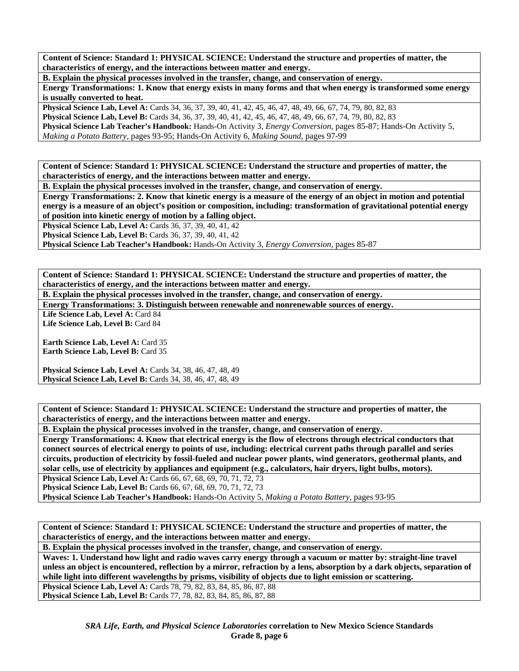**B. Explain the physical processes involved in the transfer, change, and conservation of energy.** 

**Energy Transformations: 1. Know that energy exists in many forms and that when energy is transformed some energy is usually converted to heat.** 

**Physical Science Lab, Level A:** Cards 34, 36, 37, 39, 40, 41, 42, 45, 46, 47, 48, 49, 66, 67, 74, 79, 80, 82, 83 **Physical Science Lab, Level B:** Cards 34, 36, 37, 39, 40, 41, 42, 45, 46, 47, 48, 49, 66, 67, 74, 79, 80, 82, 83 **Physical Science Lab Teacher's Handbook:** Hands-On Activity 3, *Energy Conversion,* pages 85-87; Hands-On Activity 5, *Making a Potato Battery,* pages 93-95; Hands-On Activity 6, *Making Sound,* pages 97-99

**Content of Science: Standard 1: PHYSICAL SCIENCE: Understand the structure and properties of matter, the characteristics of energy, and the interactions between matter and energy.** 

**B. Explain the physical processes involved in the transfer, change, and conservation of energy.** 

**Energy Transformations: 2. Know that kinetic energy is a measure of the energy of an object in motion and potential energy is a measure of an object's position or composition, including: transformation of gravitational potential energy of position into kinetic energy of motion by a falling object.** 

**Physical Science Lab, Level A: Cards 36, 37, 39, 40, 41, 42** 

**Physical Science Lab, Level B:** Cards 36, 37, 39, 40, 41, 42

**Physical Science Lab Teacher's Handbook:** Hands-On Activity 3, *Energy Conversion,* pages 85-87

**Content of Science: Standard 1: PHYSICAL SCIENCE: Understand the structure and properties of matter, the characteristics of energy, and the interactions between matter and energy.** 

**B. Explain the physical processes involved in the transfer, change, and conservation of energy.** 

**Energy Transformations: 3. Distinguish between renewable and nonrenewable sources of energy.** 

Life Science Lab, Level A: Card 84 Life Science Lab, Level B: Card 84

**Earth Science Lab, Level A: Card 35** 

**Earth Science Lab, Level B: Card 35** 

**Physical Science Lab, Level A:** Cards 34, 38, 46, 47, 48, 49 **Physical Science Lab, Level B:** Cards 34, 38, 46, 47, 48, 49

**Content of Science: Standard 1: PHYSICAL SCIENCE: Understand the structure and properties of matter, the characteristics of energy, and the interactions between matter and energy.** 

**B. Explain the physical processes involved in the transfer, change, and conservation of energy.** 

**Energy Transformations: 4. Know that electrical energy is the flow of electrons through electrical conductors that connect sources of electrical energy to points of use, including: electrical current paths through parallel and series circuits, production of electricity by fossil-fueled and nuclear power plants, wind generators, geothermal plants, and solar cells, use of electricity by appliances and equipment (e.g., calculators, hair dryers, light bulbs, motors).** 

**Physical Science Lab, Level A: Cards 66, 67, 68, 69, 70, 71, 72, 73** 

**Physical Science Lab, Level B:** Cards 66, 67, 68, 69, 70, 71, 72, 73

**Physical Science Lab Teacher's Handbook:** Hands-On Activity 5, *Making a Potato Battery,* pages 93-95

**Content of Science: Standard 1: PHYSICAL SCIENCE: Understand the structure and properties of matter, the characteristics of energy, and the interactions between matter and energy.** 

**B. Explain the physical processes involved in the transfer, change, and conservation of energy.** 

**Waves: 1. Understand how light and radio waves carry energy through a vacuum or matter by: straight-line travel unless an object is encountered, reflection by a mirror, refraction by a lens, absorption by a dark objects, separation of while light into different wavelengths by prisms, visibility of objects due to light emission or scattering.** 

Physical Science Lab, Level A: Cards 78, 79, 82, 83, 84, 85, 86, 87, 88 **Physical Science Lab, Level B:** Cards 77, 78, 82, 83, 84, 85, 86, 87, 88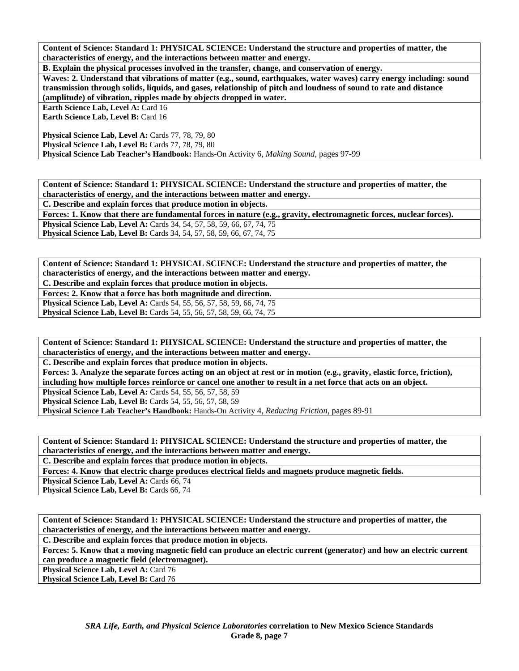**B. Explain the physical processes involved in the transfer, change, and conservation of energy.** 

**Waves: 2. Understand that vibrations of matter (e.g., sound, earthquakes, water waves) carry energy including: sound transmission through solids, liquids, and gases, relationship of pitch and loudness of sound to rate and distance (amplitude) of vibration, ripples made by objects dropped in water.** 

**Earth Science Lab, Level A: Card 16** 

Earth Science Lab, Level B: Card 16

Physical Science Lab, Level A: Cards 77, 78, 79, 80 **Physical Science Lab, Level B:** Cards 77, 78, 79, 80 **Physical Science Lab Teacher's Handbook:** Hands-On Activity 6, *Making Sound,* pages 97-99

**Content of Science: Standard 1: PHYSICAL SCIENCE: Understand the structure and properties of matter, the characteristics of energy, and the interactions between matter and energy.** 

**C. Describe and explain forces that produce motion in objects.** 

**Forces: 1. Know that there are fundamental forces in nature (e.g., gravity, electromagnetic forces, nuclear forces). Physical Science Lab, Level A:** Cards 34, 54, 57, 58, 59, 66, 67, 74, 75 **Physical Science Lab, Level B:** Cards 34, 54, 57, 58, 59, 66, 67, 74, 75

**Content of Science: Standard 1: PHYSICAL SCIENCE: Understand the structure and properties of matter, the characteristics of energy, and the interactions between matter and energy.** 

**C. Describe and explain forces that produce motion in objects.** 

**Forces: 2. Know that a force has both magnitude and direction. Physical Science Lab, Level A: Cards 54, 55, 56, 57, 58, 59, 66, 74, 75 Physical Science Lab, Level B:** Cards 54, 55, 56, 57, 58, 59, 66, 74, 75

**Content of Science: Standard 1: PHYSICAL SCIENCE: Understand the structure and properties of matter, the characteristics of energy, and the interactions between matter and energy.** 

**C. Describe and explain forces that produce motion in objects.** 

**Forces: 3. Analyze the separate forces acting on an object at rest or in motion (e.g., gravity, elastic force, friction), including how multiple forces reinforce or cancel one another to result in a net force that acts on an object.** 

**Physical Science Lab, Level A: Cards 54, 55, 56, 57, 58, 59** 

**Physical Science Lab, Level B:** Cards 54, 55, 56, 57, 58, 59

**Physical Science Lab Teacher's Handbook:** Hands-On Activity 4, *Reducing Friction,* pages 89-91

**Content of Science: Standard 1: PHYSICAL SCIENCE: Understand the structure and properties of matter, the characteristics of energy, and the interactions between matter and energy.** 

**C. Describe and explain forces that produce motion in objects.** 

**Forces: 4. Know that electric charge produces electrical fields and magnets produce magnetic fields.** 

**Physical Science Lab, Level A: Cards 66, 74** 

Physical Science Lab, Level B: Cards 66, 74

**Content of Science: Standard 1: PHYSICAL SCIENCE: Understand the structure and properties of matter, the characteristics of energy, and the interactions between matter and energy.** 

**C. Describe and explain forces that produce motion in objects.** 

**Forces: 5. Know that a moving magnetic field can produce an electric current (generator) and how an electric current can produce a magnetic field (electromagnet).** 

**Physical Science Lab, Level A: Card 76** 

**Physical Science Lab, Level B: Card 76**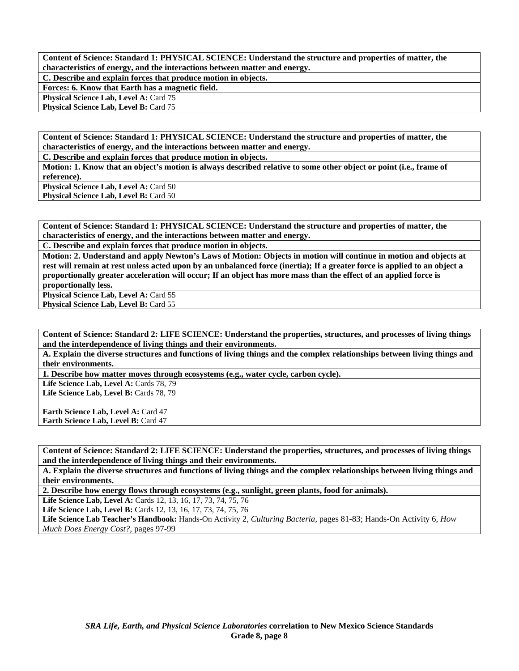**C. Describe and explain forces that produce motion in objects. Forces: 6. Know that Earth has a magnetic field.** 

**Physical Science Lab, Level A: Card 75** 

**Physical Science Lab, Level B: Card 75** 

**Content of Science: Standard 1: PHYSICAL SCIENCE: Understand the structure and properties of matter, the characteristics of energy, and the interactions between matter and energy.** 

**C. Describe and explain forces that produce motion in objects.** 

**Motion: 1. Know that an object's motion is always described relative to some other object or point (i.e., frame of reference).** 

**Physical Science Lab, Level A: Card 50** 

Physical Science Lab, Level B: Card 50

**Content of Science: Standard 1: PHYSICAL SCIENCE: Understand the structure and properties of matter, the characteristics of energy, and the interactions between matter and energy.** 

**C. Describe and explain forces that produce motion in objects.** 

**Motion: 2. Understand and apply Newton's Laws of Motion: Objects in motion will continue in motion and objects at rest will remain at rest unless acted upon by an unbalanced force (inertia); If a greater force is applied to an object a proportionally greater acceleration will occur; If an object has more mass than the effect of an applied force is proportionally less.** 

**Physical Science Lab, Level A: Card 55 Physical Science Lab, Level B: Card 55** 

**Content of Science: Standard 2: LIFE SCIENCE: Understand the properties, structures, and processes of living things and the interdependence of living things and their environments.** 

**A. Explain the diverse structures and functions of living things and the complex relationships between living things and their environments.** 

**1. Describe how matter moves through ecosystems (e.g., water cycle, carbon cycle).** 

Life Science Lab, Level A: Cards 78, 79 Life Science Lab, Level B: Cards 78, 79

**Earth Science Lab, Level A: Card 47 Earth Science Lab, Level B: Card 47** 

**Content of Science: Standard 2: LIFE SCIENCE: Understand the properties, structures, and processes of living things and the interdependence of living things and their environments.** 

**A. Explain the diverse structures and functions of living things and the complex relationships between living things and their environments.** 

**2. Describe how energy flows through ecosystems (e.g., sunlight, green plants, food for animals).** 

**Life Science Lab, Level A:** Cards 12, 13, 16, 17, 73, 74, 75, 76

**Life Science Lab, Level B:** Cards 12, 13, 16, 17, 73, 74, 75, 76

**Life Science Lab Teacher's Handbook:** Hands-On Activity 2, *Culturing Bacteria,* pages 81-83; Hands-On Activity 6, *How Much Does Energy Cost?,* pages 97-99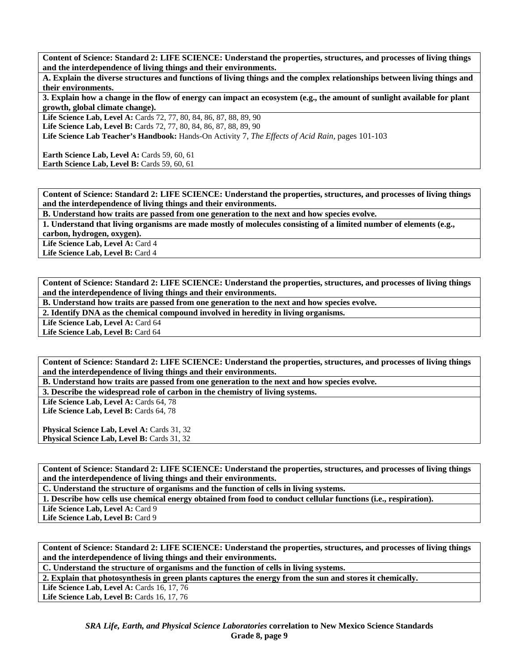**A. Explain the diverse structures and functions of living things and the complex relationships between living things and their environments.** 

**3. Explain how a change in the flow of energy can impact an ecosystem (e.g., the amount of sunlight available for plant growth, global climate change).** 

**Life Science Lab, Level A:** Cards 72, 77, 80, 84, 86, 87, 88, 89, 90

Life Science Lab, Level B: Cards 72, 77, 80, 84, 86, 87, 88, 89, 90

**Life Science Lab Teacher's Handbook:** Hands-On Activity 7, *The Effects of Acid Rain,* pages 101-103

**Earth Science Lab, Level A: Cards 59, 60, 61 Earth Science Lab, Level B: Cards 59, 60, 61** 

**Content of Science: Standard 2: LIFE SCIENCE: Understand the properties, structures, and processes of living things and the interdependence of living things and their environments.** 

**B. Understand how traits are passed from one generation to the next and how species evolve.** 

**1. Understand that living organisms are made mostly of molecules consisting of a limited number of elements (e.g., carbon, hydrogen, oxygen).** 

Life Science Lab, Level A: Card 4

Life Science Lab, Level B: Card 4

**Content of Science: Standard 2: LIFE SCIENCE: Understand the properties, structures, and processes of living things and the interdependence of living things and their environments.** 

**B. Understand how traits are passed from one generation to the next and how species evolve.** 

**2. Identify DNA as the chemical compound involved in heredity in living organisms.** 

Life Science Lab, Level A: Card 64

Life Science Lab, Level B: Card 64

**Content of Science: Standard 2: LIFE SCIENCE: Understand the properties, structures, and processes of living things and the interdependence of living things and their environments.** 

**B. Understand how traits are passed from one generation to the next and how species evolve.** 

**3. Describe the widespread role of carbon in the chemistry of living systems.** 

Life Science Lab, Level A: Cards 64, 78 Life Science Lab, Level B: Cards 64, 78

Physical Science Lab, Level A: Cards 31, 32 Physical Science Lab, Level B: Cards 31, 32

**Content of Science: Standard 2: LIFE SCIENCE: Understand the properties, structures, and processes of living things and the interdependence of living things and their environments.** 

**C. Understand the structure of organisms and the function of cells in living systems.** 

**1. Describe how cells use chemical energy obtained from food to conduct cellular functions (i.e., respiration).** 

Life Science Lab, Level A: Card 9

Life Science Lab, Level B: Card 9

**Content of Science: Standard 2: LIFE SCIENCE: Understand the properties, structures, and processes of living things and the interdependence of living things and their environments.** 

**C. Understand the structure of organisms and the function of cells in living systems.** 

**2. Explain that photosynthesis in green plants captures the energy from the sun and stores it chemically.** 

Life Science Lab, Level A: Cards 16, 17, 76

**Life Science Lab, Level B: Cards 16, 17, 76**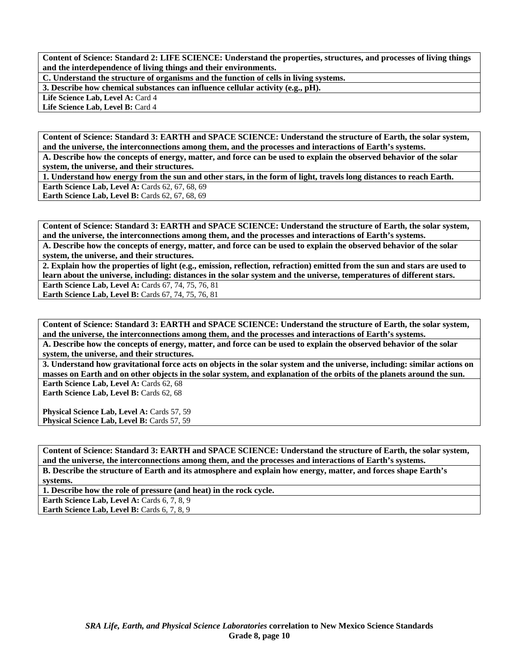**C. Understand the structure of organisms and the function of cells in living systems.** 

**3. Describe how chemical substances can influence cellular activity (e.g., pH).** 

Life Science Lab, Level A: Card 4

Life Science Lab, Level B: Card 4

**Content of Science: Standard 3: EARTH and SPACE SCIENCE: Understand the structure of Earth, the solar system, and the universe, the interconnections among them, and the processes and interactions of Earth's systems.** 

**A. Describe how the concepts of energy, matter, and force can be used to explain the observed behavior of the solar system, the universe, and their structures.** 

**1. Understand how energy from the sun and other stars, in the form of light, travels long distances to reach Earth. Earth Science Lab, Level A: Cards 62, 67, 68, 69** 

Earth Science Lab, Level B: Cards 62, 67, 68, 69

**Content of Science: Standard 3: EARTH and SPACE SCIENCE: Understand the structure of Earth, the solar system, and the universe, the interconnections among them, and the processes and interactions of Earth's systems. A. Describe how the concepts of energy, matter, and force can be used to explain the observed behavior of the solar system, the universe, and their structures.** 

**2. Explain how the properties of light (e.g., emission, reflection, refraction) emitted from the sun and stars are used to learn about the universe, including: distances in the solar system and the universe, temperatures of different stars. Earth Science Lab, Level A: Cards 67, 74, 75, 76, 81 Earth Science Lab, Level B:** Cards 67, 74, 75, 76, 81

**Content of Science: Standard 3: EARTH and SPACE SCIENCE: Understand the structure of Earth, the solar system, and the universe, the interconnections among them, and the processes and interactions of Earth's systems.** 

**A. Describe how the concepts of energy, matter, and force can be used to explain the observed behavior of the solar system, the universe, and their structures.** 

**3. Understand how gravitational force acts on objects in the solar system and the universe, including: similar actions on masses on Earth and on other objects in the solar system, and explanation of the orbits of the planets around the sun.**  Earth Science Lab, Level A: Cards 62, 68

Earth Science Lab, Level B: Cards 62, 68

**Physical Science Lab, Level A: Cards 57, 59** Physical Science Lab, Level B: Cards 57, 59

**Content of Science: Standard 3: EARTH and SPACE SCIENCE: Understand the structure of Earth, the solar system, and the universe, the interconnections among them, and the processes and interactions of Earth's systems. B. Describe the structure of Earth and its atmosphere and explain how energy, matter, and forces shape Earth's systems.** 

**1. Describe how the role of pressure (and heat) in the rock cycle.** 

**Earth Science Lab, Level A: Cards 6, 7, 8, 9** 

**Earth Science Lab, Level B:** Cards 6, 7, 8, 9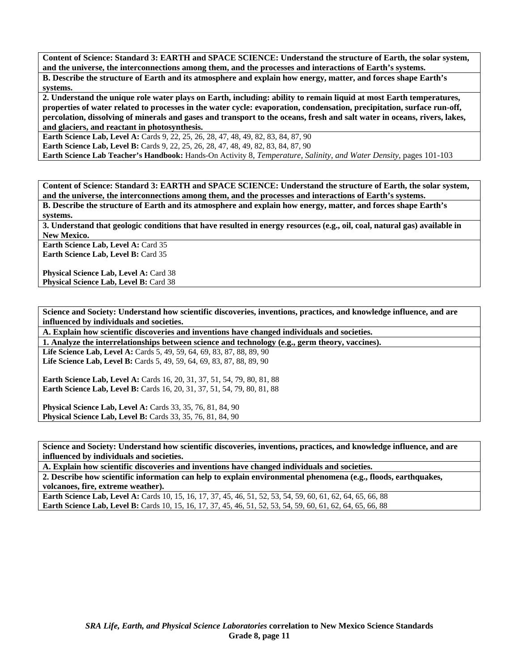**Content of Science: Standard 3: EARTH and SPACE SCIENCE: Understand the structure of Earth, the solar system, and the universe, the interconnections among them, and the processes and interactions of Earth's systems. B. Describe the structure of Earth and its atmosphere and explain how energy, matter, and forces shape Earth's systems.** 

**2. Understand the unique role water plays on Earth, including: ability to remain liquid at most Earth temperatures, properties of water related to processes in the water cycle: evaporation, condensation, precipitation, surface run-off, percolation, dissolving of minerals and gases and transport to the oceans, fresh and salt water in oceans, rivers, lakes, and glaciers, and reactant in photosynthesis.** 

**Earth Science Lab, Level A:** Cards 9, 22, 25, 26, 28, 47, 48, 49, 82, 83, 84, 87, 90 **Earth Science Lab, Level B:** Cards 9, 22, 25, 26, 28, 47, 48, 49, 82, 83, 84, 87, 90

**Earth Science Lab Teacher's Handbook:** Hands-On Activity 8, *Temperature, Salinity, and Water Density,* pages 101-103

**Content of Science: Standard 3: EARTH and SPACE SCIENCE: Understand the structure of Earth, the solar system, and the universe, the interconnections among them, and the processes and interactions of Earth's systems.** 

**B. Describe the structure of Earth and its atmosphere and explain how energy, matter, and forces shape Earth's systems.** 

**3. Understand that geologic conditions that have resulted in energy resources (e.g., oil, coal, natural gas) available in New Mexico.** 

**Earth Science Lab, Level A: Card 35 Earth Science Lab, Level B:** Card 35

**Physical Science Lab, Level A: Card 38 Physical Science Lab, Level B: Card 38** 

**Science and Society: Understand how scientific discoveries, inventions, practices, and knowledge influence, and are influenced by individuals and societies.** 

**A. Explain how scientific discoveries and inventions have changed individuals and societies.** 

**1. Analyze the interrelationships between science and technology (e.g., germ theory, vaccines).** 

**Life Science Lab, Level A:** Cards 5, 49, 59, 64, 69, 83, 87, 88, 89, 90 Life Science Lab, Level B: Cards 5, 49, 59, 64, 69, 83, 87, 88, 89, 90

**Earth Science Lab, Level A: Cards 16, 20, 31, 37, 51, 54, 79, 80, 81, 88 Earth Science Lab, Level B:** Cards 16, 20, 31, 37, 51, 54, 79, 80, 81, 88

**Physical Science Lab, Level A: Cards 33, 35, 76, 81, 84, 90 Physical Science Lab, Level B:** Cards 33, 35, 76, 81, 84, 90

**Science and Society: Understand how scientific discoveries, inventions, practices, and knowledge influence, and are influenced by individuals and societies.** 

**A. Explain how scientific discoveries and inventions have changed individuals and societies. 2. Describe how scientific information can help to explain environmental phenomena (e.g., floods, earthquakes, volcanoes, fire, extreme weather).** 

**Earth Science Lab, Level A:** Cards 10, 15, 16, 17, 37, 45, 46, 51, 52, 53, 54, 59, 60, 61, 62, 64, 65, 66, 88 **Earth Science Lab, Level B:** Cards 10, 15, 16, 17, 37, 45, 46, 51, 52, 53, 54, 59, 60, 61, 62, 64, 65, 66, 88